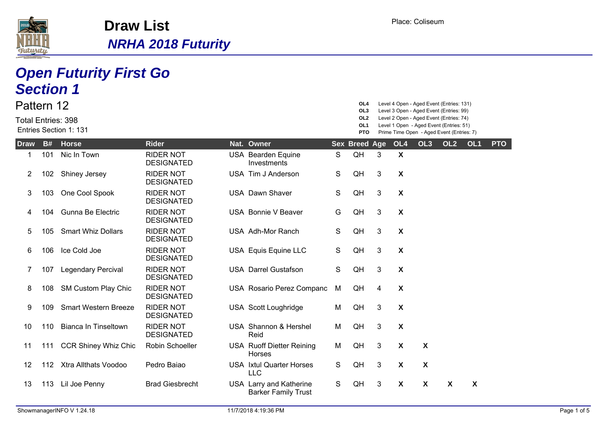

| Pattern 12<br><b>Total Entries: 398</b> |           | <b>Open Futurity First Go</b><br><b>Section 1</b><br>Entries Section 1: 131 |                                       |                                                       |   | OL4<br>OL3<br>OL2<br>OL1    |   |                           | Level 4 Open - Aged Event (Entries: 131)<br>Level 3 Open - Aged Event (Entries: 99)<br>Level 2 Open - Aged Event (Entries: 74)<br>Level 1 Open - Aged Event (Entries: 51) |                 |                 |            |
|-----------------------------------------|-----------|-----------------------------------------------------------------------------|---------------------------------------|-------------------------------------------------------|---|-----------------------------|---|---------------------------|---------------------------------------------------------------------------------------------------------------------------------------------------------------------------|-----------------|-----------------|------------|
| <b>Draw</b>                             | <b>B#</b> | <b>Horse</b>                                                                | <b>Rider</b>                          | Nat. Owner                                            |   | <b>PTO</b><br>Sex Breed Age |   | OL4                       | Prime Time Open - Aged Event (Entries: 7)<br>OL <sub>3</sub>                                                                                                              | OL <sub>2</sub> | OL <sub>1</sub> | <b>PTO</b> |
| 1                                       | 101       | Nic In Town                                                                 | <b>RIDER NOT</b><br><b>DESIGNATED</b> | <b>USA Bearden Equine</b><br>Investments              | S | QH                          | 3 | $\boldsymbol{X}$          |                                                                                                                                                                           |                 |                 |            |
| 2                                       | 102       | Shiney Jersey                                                               | <b>RIDER NOT</b><br><b>DESIGNATED</b> | USA Tim J Anderson                                    | S | QH                          | 3 | X                         |                                                                                                                                                                           |                 |                 |            |
| 3                                       | 103       | One Cool Spook                                                              | <b>RIDER NOT</b><br><b>DESIGNATED</b> | <b>USA Dawn Shaver</b>                                | S | QH                          | 3 | X                         |                                                                                                                                                                           |                 |                 |            |
| 4                                       | 104       | Gunna Be Electric                                                           | <b>RIDER NOT</b><br><b>DESIGNATED</b> | USA Bonnie V Beaver                                   | G | QH                          | 3 | $\boldsymbol{X}$          |                                                                                                                                                                           |                 |                 |            |
| 5                                       | 105       | <b>Smart Whiz Dollars</b>                                                   | <b>RIDER NOT</b><br><b>DESIGNATED</b> | USA Adh-Mor Ranch                                     | S | QH                          | 3 | X                         |                                                                                                                                                                           |                 |                 |            |
| 6                                       | 106       | Ice Cold Joe                                                                | <b>RIDER NOT</b><br><b>DESIGNATED</b> | USA Equis Equine LLC                                  | S | QH                          | 3 | X                         |                                                                                                                                                                           |                 |                 |            |
| 7                                       | 107       | <b>Legendary Percival</b>                                                   | <b>RIDER NOT</b><br><b>DESIGNATED</b> | <b>USA Darrel Gustafson</b>                           | S | QH                          | 3 | X                         |                                                                                                                                                                           |                 |                 |            |
| 8                                       | 108       | SM Custom Play Chic                                                         | <b>RIDER NOT</b><br><b>DESIGNATED</b> | USA Rosario Perez Companc                             | M | QH                          | 4 | X                         |                                                                                                                                                                           |                 |                 |            |
| 9                                       | 109       | <b>Smart Western Breeze</b>                                                 | <b>RIDER NOT</b><br><b>DESIGNATED</b> | USA Scott Loughridge                                  | M | QH                          | 3 | $\boldsymbol{\mathsf{X}}$ |                                                                                                                                                                           |                 |                 |            |
| 10                                      | 110       | <b>Bianca In Tinseltown</b>                                                 | <b>RIDER NOT</b><br><b>DESIGNATED</b> | USA Shannon & Hershel<br>Reid                         | м | QH                          | 3 | $\boldsymbol{\mathsf{X}}$ |                                                                                                                                                                           |                 |                 |            |
| 11                                      | 111       | <b>CCR Shiney Whiz Chic</b>                                                 | Robin Schoeller                       | <b>USA Ruoff Dietter Reining</b><br>Horses            | м | QH                          | 3 | X                         | $\boldsymbol{\mathsf{X}}$                                                                                                                                                 |                 |                 |            |
| 12                                      | 112       | Xtra Allthats Voodoo                                                        | Pedro Baiao                           | <b>USA</b> Ixtul Quarter Horses<br>LLC                | S | QH                          | 3 | $\boldsymbol{\mathsf{X}}$ | $\boldsymbol{\mathsf{X}}$                                                                                                                                                 |                 |                 |            |
| 13                                      | 113       | Lil Joe Penny                                                               | <b>Brad Giesbrecht</b>                | USA Larry and Katherine<br><b>Barker Family Trust</b> | S | QH                          | 3 | X                         | X                                                                                                                                                                         | X               | X               |            |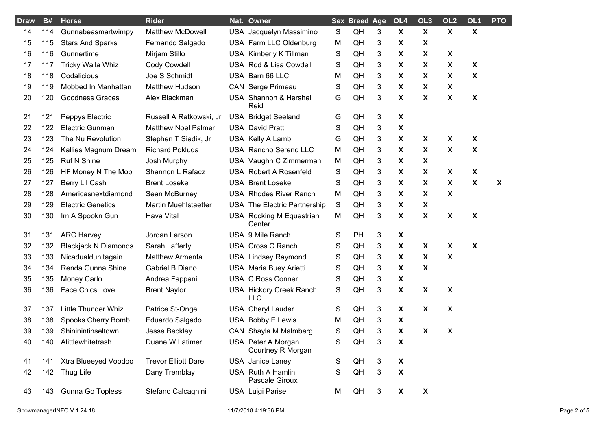| <b>Draw</b> | <b>B#</b> | <b>Horse</b>                | <b>Rider</b>                | Nat. Owner                              |             | <b>Sex Breed Age</b> |   | OL4                       | OL <sub>3</sub>           | OL <sub>2</sub>           | OL <sub>1</sub>           | <b>PTO</b> |
|-------------|-----------|-----------------------------|-----------------------------|-----------------------------------------|-------------|----------------------|---|---------------------------|---------------------------|---------------------------|---------------------------|------------|
| 14          | 114       | Gunnabeasmartwimpy          | <b>Matthew McDowell</b>     | USA Jacquelyn Massimino                 | S           | QH                   | 3 | $\boldsymbol{\mathsf{X}}$ | $\boldsymbol{\mathsf{X}}$ | $\boldsymbol{\mathsf{X}}$ | $\boldsymbol{\mathsf{X}}$ |            |
| 15          | 115       | <b>Stars And Sparks</b>     | Fernando Salgado            | USA Farm LLC Oldenburg                  | M           | QH                   | 3 | X                         | X                         |                           |                           |            |
| 16          | 116       | Gunnertime                  | Mirjam Stillo               | USA Kimberly K Tillman                  | S           | QH                   | 3 | X                         | X                         | X                         |                           |            |
| 17          | 117       | <b>Tricky Walla Whiz</b>    | Cody Cowdell                | USA Rod & Lisa Cowdell                  | S           | QH                   | 3 | X                         | X                         | X                         | X                         |            |
| 18          | 118       | Codalicious                 | Joe S Schmidt               | USA Barn 66 LLC                         | M           | QH                   | 3 | X                         | X                         | X                         | $\boldsymbol{\mathsf{X}}$ |            |
| 19          | 119       | Mobbed In Manhattan         | <b>Matthew Hudson</b>       | <b>CAN</b> Serge Primeau                | S           | QH                   | 3 | $\boldsymbol{X}$          | X                         | X                         |                           |            |
| 20          | 120       | <b>Goodness Graces</b>      | Alex Blackman               | USA Shannon & Hershel<br>Reid           | G           | QH                   | 3 | X                         | X                         | $\boldsymbol{\mathsf{X}}$ | $\boldsymbol{\mathsf{X}}$ |            |
| 21          | 121       | Peppys Electric             | Russell A Ratkowski, Jr     | <b>USA Bridget Seeland</b>              | G           | QH                   | 3 | X                         |                           |                           |                           |            |
| 22          | 122       | <b>Electric Gunman</b>      | <b>Matthew Noel Palmer</b>  | <b>USA David Pratt</b>                  | S           | QH                   | 3 | X                         |                           |                           |                           |            |
| 23          | 123       | The Nu Revolution           | Stephen T Siadik, Jr        | USA Kelly A Lamb                        | G           | QH                   | 3 | X                         | X                         | X                         | X                         |            |
| 24          | 124       | Kallies Magnum Dream        | <b>Richard Pokluda</b>      | USA Rancho Sereno LLC                   | M           | QH                   | 3 | X                         | X                         | X                         | X                         |            |
| 25          | 125       | Ruf N Shine                 | Josh Murphy                 | USA Vaughn C Zimmerman                  | M           | QH                   | 3 | X                         | $\boldsymbol{\mathsf{X}}$ |                           |                           |            |
| 26          | 126       | HF Money N The Mob          | Shannon L Rafacz            | <b>USA Robert A Rosenfeld</b>           | S           | QH                   | 3 | X                         | X                         | X                         | $\boldsymbol{\mathsf{X}}$ |            |
| 27          | 127       | Berry Lil Cash              | <b>Brent Loseke</b>         | <b>USA Brent Loseke</b>                 | S           | QH                   | 3 | X                         | X                         | X                         | $\boldsymbol{\mathsf{X}}$ | X          |
| 28          | 128       | Americasnextdiamond         | Sean McBurney               | <b>USA Rhodes River Ranch</b>           | M           | QH                   | 3 | X                         | X                         | $\boldsymbol{\mathsf{X}}$ |                           |            |
| 29          | 129       | <b>Electric Genetics</b>    | <b>Martin Muehlstaetter</b> | USA The Electric Partnership            | $\mathsf S$ | QH                   | 3 | X                         | X                         |                           |                           |            |
| 30          | 130       | Im A Spookn Gun             | Hava Vital                  | USA Rocking M Equestrian<br>Center      | M           | QH                   | 3 | X                         | $\boldsymbol{\mathsf{X}}$ | $\boldsymbol{\mathsf{X}}$ | $\boldsymbol{\mathsf{X}}$ |            |
| 31          | 131       | <b>ARC Harvey</b>           | Jordan Larson               | USA 9 Mile Ranch                        | S           | PH                   | 3 | X                         |                           |                           |                           |            |
| 32          | 132       | <b>Blackjack N Diamonds</b> | Sarah Lafferty              | USA Cross C Ranch                       | S           | QH                   | 3 | X                         | X                         | X                         | $\boldsymbol{\mathsf{X}}$ |            |
| 33          | 133       | Nicadualdunitagain          | <b>Matthew Armenta</b>      | <b>USA Lindsey Raymond</b>              | S           | QH                   | 3 | X                         | $\boldsymbol{\mathsf{X}}$ | $\boldsymbol{\mathsf{X}}$ |                           |            |
| 34          | 134       | Renda Gunna Shine           | Gabriel B Diano             | <b>USA Maria Buey Arietti</b>           | S           | QH                   | 3 | X                         | $\boldsymbol{\mathsf{X}}$ |                           |                           |            |
| 35          | 135       | Money Carlo                 | Andrea Fappani              | <b>USA C Ross Conner</b>                | S           | QH                   | 3 | $\boldsymbol{\mathsf{X}}$ |                           |                           |                           |            |
| 36          | 136       | Face Chics Love             | <b>Brent Naylor</b>         | USA Hickory Creek Ranch<br><b>LLC</b>   | S           | QH                   | 3 | $\boldsymbol{\mathsf{X}}$ | $\boldsymbol{\mathsf{X}}$ | $\boldsymbol{\mathsf{X}}$ |                           |            |
| 37          | 137       | <b>Little Thunder Whiz</b>  | Patrice St-Onge             | <b>USA Cheryl Lauder</b>                | S           | QH                   | 3 | X                         | X                         | X                         |                           |            |
| 38          | 138       | Spooks Cherry Bomb          | Eduardo Salgado             | USA Bobby E Lewis                       | M           | QH                   | 3 | X                         |                           |                           |                           |            |
| 39          | 139       | Shininintinseltown          | Jesse Beckley               | CAN Shayla M Malmberg                   | S           | QH                   | 3 | $\boldsymbol{\mathsf{X}}$ | $\boldsymbol{\mathsf{X}}$ | $\boldsymbol{\mathsf{X}}$ |                           |            |
| 40          | 140       | Alittlewhitetrash           | Duane W Latimer             | USA Peter A Morgan<br>Courtney R Morgan | S           | QH                   | 3 | X                         |                           |                           |                           |            |
| 41          | 141       | Xtra Blueeyed Voodoo        | <b>Trevor Elliott Dare</b>  | <b>USA</b> Janice Laney                 | S           | QH                   | 3 | X                         |                           |                           |                           |            |
| 42          | 142       | Thug Life                   | Dany Tremblay               | USA Ruth A Hamlin<br>Pascale Giroux     | S           | QH                   | 3 | $\pmb{\chi}$              |                           |                           |                           |            |
| 43          | 143       | Gunna Go Topless            | Stefano Calcagnini          | <b>USA Luigi Parise</b>                 | M           | QH                   | 3 | X                         | X                         |                           |                           |            |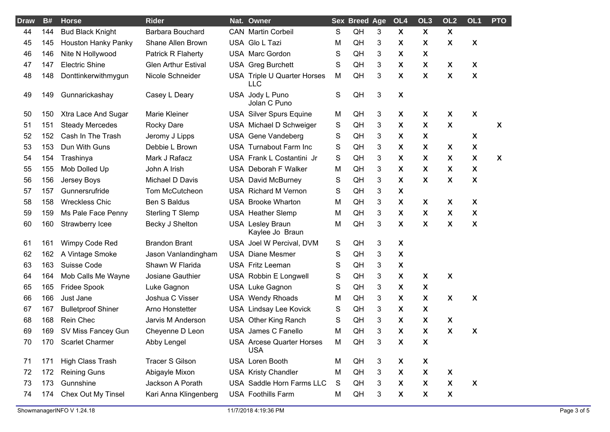| <b>Draw</b> | B#  | <b>Horse</b>              | <b>Rider</b>               | Nat. Owner                                     |   | <b>Sex Breed Age</b> |   | OL4                       | OL <sub>3</sub>           | OL <sub>2</sub>           | OL1                       | <b>PTO</b> |
|-------------|-----|---------------------------|----------------------------|------------------------------------------------|---|----------------------|---|---------------------------|---------------------------|---------------------------|---------------------------|------------|
| 44          | 144 | <b>Bud Black Knight</b>   | Barbara Bouchard           | <b>CAN</b> Martin Corbeil                      | S | QH                   | 3 | X                         | $\boldsymbol{\mathsf{X}}$ | $\boldsymbol{\mathsf{X}}$ |                           |            |
| 45          | 145 | Houston Hanky Panky       | Shane Allen Brown          | USA Glo L Tazi                                 | M | QH                   | 3 | X                         | X                         | X                         | X                         |            |
| 46          | 146 | Nite N Hollywood          | Patrick R Flaherty         | <b>USA Marc Gordon</b>                         | S | QH                   | 3 | X                         | X                         |                           |                           |            |
| 47          | 147 | <b>Electric Shine</b>     | <b>Glen Arthur Estival</b> | <b>USA</b> Greg Burchett                       | S | QH                   | 3 | X                         | X                         | X                         | X                         |            |
| 48          | 148 | Donttinkerwithmygun       | Nicole Schneider           | USA Triple U Quarter Horses<br><b>LLC</b>      | M | QH                   | 3 | X                         | X                         | $\boldsymbol{\mathsf{X}}$ | $\boldsymbol{\mathsf{X}}$ |            |
| 49          | 149 | Gunnarickashay            | Casey L Deary              | USA Jody L Puno<br>Jolan C Puno                | S | QH                   | 3 | X                         |                           |                           |                           |            |
| 50          | 150 | Xtra Lace And Sugar       | <b>Marie Kleiner</b>       | <b>USA Silver Spurs Equine</b>                 | M | QH                   | 3 | X                         | X                         | X                         | $\boldsymbol{\mathsf{X}}$ |            |
| 51          | 151 | <b>Steady Mercedes</b>    | <b>Rocky Dare</b>          | USA Michael D Schweiger                        | S | QH                   | 3 | $\boldsymbol{\mathsf{X}}$ | X                         | $\boldsymbol{\mathsf{X}}$ |                           | X          |
| 52          | 152 | Cash In The Trash         | Jeromy J Lipps             | USA Gene Vandeberg                             | S | QH                   | 3 | X                         | $\boldsymbol{\mathsf{X}}$ |                           | $\boldsymbol{\mathsf{X}}$ |            |
| 53          | 153 | Dun With Guns             | Debbie L Brown             | USA Turnabout Farm Inc                         | S | QH                   | 3 | X                         | X                         | X                         | X                         |            |
| 54          | 154 | Trashinya                 | Mark J Rafacz              | USA Frank L Costantini Jr                      | S | QH                   | 3 | X                         | X                         | X                         | $\boldsymbol{\mathsf{X}}$ | X          |
| 55          | 155 | Mob Dolled Up             | John A Irish               | USA Deborah F Walker                           | M | QH                   | 3 | X                         | X                         | X                         | X                         |            |
| 56          | 156 | Jersey Boys               | Michael D Davis            | <b>USA David McBurney</b>                      | S | QH                   | 3 | X                         | $\boldsymbol{\mathsf{X}}$ | $\boldsymbol{\mathsf{X}}$ | $\boldsymbol{\mathsf{X}}$ |            |
| 57          | 157 | Gunnersrufride            | Tom McCutcheon             | <b>USA Richard M Vernon</b>                    | S | QH                   | 3 | X                         |                           |                           |                           |            |
| 58          | 158 | <b>Wreckless Chic</b>     | <b>Ben S Baldus</b>        | <b>USA Brooke Wharton</b>                      | M | QH                   | 3 | X                         | X                         | X                         | $\boldsymbol{\mathsf{X}}$ |            |
| 59          | 159 | Ms Pale Face Penny        | Sterling T Slemp           | <b>USA Heather Slemp</b>                       | M | QH                   | 3 | X                         | X                         | X                         | X                         |            |
| 60          | 160 | Strawberry Icee           | Becky J Shelton            | <b>USA Lesley Braun</b><br>Kaylee Jo Braun     | M | QH                   | 3 | X                         | X                         | $\boldsymbol{\mathsf{X}}$ | $\boldsymbol{\mathsf{X}}$ |            |
| 61          | 161 | Wimpy Code Red            | <b>Brandon Brant</b>       | USA Joel W Percival, DVM                       | S | QH                   | 3 | X                         |                           |                           |                           |            |
| 62          | 162 | A Vintage Smoke           | Jason Vanlandingham        | <b>USA Diane Mesmer</b>                        | S | QH                   | 3 | $\boldsymbol{\mathsf{X}}$ |                           |                           |                           |            |
| 63          | 163 | Suisse Code               | Shawn W Flarida            | USA Fritz Leeman                               | S | QH                   | 3 | X                         |                           |                           |                           |            |
| 64          | 164 | Mob Calls Me Wayne        | Josiane Gauthier           | USA Robbin E Longwell                          | S | QH                   | 3 | X                         | X                         | $\boldsymbol{\mathsf{X}}$ |                           |            |
| 65          | 165 | Fridee Spook              | Luke Gagnon                | USA Luke Gagnon                                | S | QH                   | 3 | X                         | X                         |                           |                           |            |
| 66          | 166 | Just Jane                 | Joshua C Visser            | <b>USA Wendy Rhoads</b>                        | M | QH                   | 3 | X                         | X                         | $\boldsymbol{\mathsf{X}}$ | $\boldsymbol{\mathsf{X}}$ |            |
| 67          | 167 | <b>Bulletproof Shiner</b> | Arno Honstetter            | USA Lindsay Lee Kovick                         | S | QH                   | 3 | X                         | X                         |                           |                           |            |
| 68          | 168 | Rein Chec                 | Jarvis M Anderson          | USA Other King Ranch                           | S | QH                   | 3 | X                         | X                         | X                         |                           |            |
| 69          | 169 | SV Miss Fancey Gun        | Cheyenne D Leon            | USA James C Fanello                            | M | QH                   | 3 | X                         | $\boldsymbol{\mathsf{X}}$ | $\boldsymbol{\mathsf{X}}$ | $\boldsymbol{\mathsf{X}}$ |            |
| 70          | 170 | <b>Scarlet Charmer</b>    | Abby Lengel                | <b>USA</b> Arcese Quarter Horses<br><b>USA</b> | M | QH                   | 3 | X                         | X                         |                           |                           |            |
| 71          | 171 | High Class Trash          | <b>Tracer S Gilson</b>     | USA Loren Booth                                | M | QH                   | 3 | X                         | X                         |                           |                           |            |
| 72          | 172 | <b>Reining Guns</b>       | Abigayle Mixon             | <b>USA Kristy Chandler</b>                     | M | QH                   | 3 | X                         | X                         | X                         |                           |            |
| 73          | 173 | Gunnshine                 | Jackson A Porath           | USA Saddle Horn Farms LLC                      | S | QH                   | 3 | X                         | $\boldsymbol{\mathsf{X}}$ | $\pmb{\mathsf{X}}$        | $\boldsymbol{\mathsf{X}}$ |            |
| 74          | 174 | Chex Out My Tinsel        | Kari Anna Klingenberg      | <b>USA Foothills Farm</b>                      | M | QH                   | 3 | $\boldsymbol{\mathsf{X}}$ | $\pmb{\mathsf{X}}$        | $\boldsymbol{\mathsf{X}}$ |                           |            |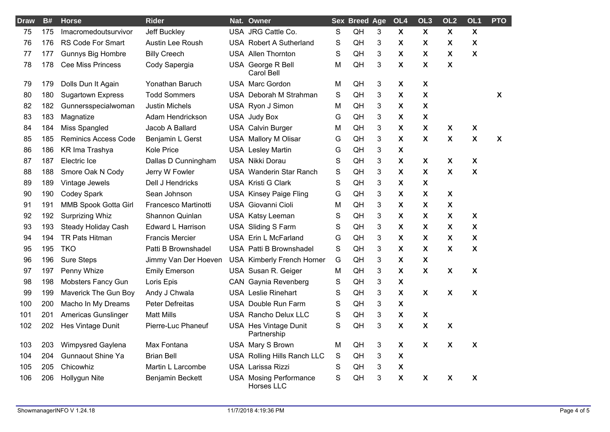| <b>Draw</b> | <b>B#</b> | <b>Horse</b>                | <b>Rider</b>             | Nat. Owner                                         |             | <b>Sex Breed Age</b> |   | OL4                       | OL <sub>3</sub>           | OL <sub>2</sub>           | OL <sub>1</sub>           | <b>PTO</b> |
|-------------|-----------|-----------------------------|--------------------------|----------------------------------------------------|-------------|----------------------|---|---------------------------|---------------------------|---------------------------|---------------------------|------------|
| 75          | 175       | Imacromedoutsurvivor        | Jeff Buckley             | USA JRG Cattle Co.                                 | S           | QH                   | 3 | X                         | X                         | X                         | $\boldsymbol{\mathsf{X}}$ |            |
| 76          | 176       | <b>RS Code For Smart</b>    | Austin Lee Roush         | <b>USA Robert A Sutherland</b>                     | S           | QH                   | 3 | X                         | X                         | $\boldsymbol{\mathsf{X}}$ | X                         |            |
| 77          | 177       | Gunnys Big Hombre           | <b>Billy Creech</b>      | <b>USA Allen Thornton</b>                          | S           | QH                   | 3 | X                         | X                         | X                         | $\boldsymbol{\mathsf{X}}$ |            |
| 78          | 178       | <b>Cee Miss Princess</b>    | Cody Sapergia            | USA George R Bell<br>Carol Bell                    | М           | QH                   | 3 | $\mathsf{x}$              | $\mathbf x$               | $\boldsymbol{\mathsf{x}}$ |                           |            |
| 79          | 179       | Dolls Dun It Again          | Yonathan Baruch          | <b>USA Marc Gordon</b>                             | М           | QH                   | 3 | X                         | X                         |                           |                           |            |
| 80          | 180       | <b>Sugartown Express</b>    | <b>Todd Sommers</b>      | USA Deborah M Strahman                             | $\mathbf S$ | QH                   | 3 | $\boldsymbol{\mathsf{x}}$ | $\mathbf{x}$              |                           |                           | <b>X</b>   |
| 82          | 182       | Gunnersspecialwoman         | <b>Justin Michels</b>    | USA Ryon J Simon                                   | М           | QH                   | 3 | $\boldsymbol{\mathsf{X}}$ | $\mathbf x$               |                           |                           |            |
| 83          | 183       | Magnatize                   | Adam Hendrickson         | USA Judy Box                                       | G           | QH                   | 3 | X                         | X                         |                           |                           |            |
| 84          | 184       | Miss Spangled               | Jacob A Ballard          | <b>USA Calvin Burger</b>                           | М           | QH                   | 3 | X                         | $\mathbf x$               | X                         | $\boldsymbol{\mathsf{X}}$ |            |
| 85          | 185       | <b>Reminics Access Code</b> | Benjamin L Gerst         | <b>USA Mallory M Olisar</b>                        | G           | QH                   | 3 | X                         | $\mathbf x$               | $\boldsymbol{\mathsf{X}}$ | $\boldsymbol{\mathsf{X}}$ | X          |
| 86          | 186       | KR Ima Trashya              | Kole Price               | <b>USA Lesley Martin</b>                           | G           | QH                   | 3 | X                         |                           |                           |                           |            |
| 87          | 187       | Electric Ice                | Dallas D Cunningham      | USA Nikki Dorau                                    | $\mathbf S$ | QH                   | 3 | $\mathsf{x}$              | X                         | $\boldsymbol{\mathsf{X}}$ | $\boldsymbol{\mathsf{X}}$ |            |
| 88          | 188       | Smore Oak N Cody            | Jerry W Fowler           | <b>USA</b> Wanderin Star Ranch                     | S           | QH                   | 3 | X                         | X                         | X                         | $\boldsymbol{\mathsf{X}}$ |            |
| 89          | 189       | Vintage Jewels              | Dell J Hendricks         | <b>USA Kristi G Clark</b>                          | S           | QH                   | 3 | X                         | $\mathbf x$               |                           |                           |            |
| 90          | 190       | <b>Codey Spark</b>          | Sean Johnson             | <b>USA Kinsey Paige Fling</b>                      | G           | QH                   | 3 | X                         | X                         | X                         |                           |            |
| 91          | 191       | MMB Spook Gotta Girl        | Francesco Martinotti     | USA Giovanni Cioli                                 | М           | QH                   | 3 | X                         | X                         | $\boldsymbol{\mathsf{X}}$ |                           |            |
| 92          | 192       | <b>Surprizing Whiz</b>      | Shannon Quinlan          | USA Katsy Leeman                                   | S           | QH                   | 3 | $\boldsymbol{\mathsf{X}}$ | X                         | $\boldsymbol{\mathsf{X}}$ | $\boldsymbol{\mathsf{X}}$ |            |
| 93          | 193       | Steady Holiday Cash         | <b>Edward L Harrison</b> | USA Sliding S Farm                                 | S           | QH                   | 3 | $\boldsymbol{\mathsf{X}}$ | $\boldsymbol{\mathsf{X}}$ | $\pmb{\chi}$              | $\pmb{\chi}$              |            |
| 94          | 194       | TR Pats Hitman              | <b>Francis Mercier</b>   | USA Erin L McFarland                               | G           | QH                   | 3 | X                         | X                         | X                         | $\boldsymbol{\mathsf{X}}$ |            |
| 95          | 195       | <b>TKO</b>                  | Patti B Brownshadel      | USA Patti B Brownshadel                            | S           | QH                   | 3 | X                         | X                         | X                         | $\boldsymbol{\mathsf{X}}$ |            |
| 96          | 196       | <b>Sure Steps</b>           | Jimmy Van Der Hoeven     | <b>USA Kimberly French Horner</b>                  | G           | QH                   | 3 | X                         | X                         |                           |                           |            |
| 97          | 197       | Penny Whize                 | <b>Emily Emerson</b>     | USA Susan R. Geiger                                | M           | QH                   | 3 | X                         | X                         | $\boldsymbol{\mathsf{X}}$ | $\boldsymbol{\mathsf{X}}$ |            |
| 98          | 198       | <b>Mobsters Fancy Gun</b>   | Loris Epis               | CAN Gaynia Revenberg                               | S           | QH                   | 3 | X                         |                           |                           |                           |            |
| 99          | 199       | Maverick The Gun Boy        | Andy J Chwala            | <b>USA Leslie Rinehart</b>                         | S           | QH                   | 3 | X                         | $\mathbf x$               | $\boldsymbol{\mathsf{X}}$ | $\boldsymbol{\mathsf{X}}$ |            |
| 100         | 200       | Macho In My Dreams          | Peter Defreitas          | USA Double Run Farm                                | S           | QH                   | 3 | $\boldsymbol{\mathsf{X}}$ |                           |                           |                           |            |
| 101         | 201       | Americas Gunslinger         | <b>Matt Mills</b>        | <b>USA Rancho Delux LLC</b>                        | S           | QH                   | 3 | X                         | X                         |                           |                           |            |
| 102         | 202       | Hes Vintage Dunit           | Pierre-Luc Phaneuf       | <b>USA Hes Vintage Dunit</b><br>Partnership        | S           | QH                   | 3 | X                         | $\boldsymbol{\mathsf{X}}$ | X                         |                           |            |
| 103         | 203       | Wimpysred Gaylena           | Max Fontana              | USA Mary S Brown                                   | М           | QH                   | 3 | X                         | $\mathsf{x}$              | $\boldsymbol{\mathsf{X}}$ | $\boldsymbol{\mathsf{X}}$ |            |
| 104         | 204       | <b>Gunnaout Shine Ya</b>    | <b>Brian Bell</b>        | USA Rolling Hills Ranch LLC                        | S           | QH                   | 3 | X                         |                           |                           |                           |            |
| 105         | 205       | Chicowhiz                   | Martin L Larcombe        | USA Larissa Rizzi                                  | S           | QH                   | 3 | $\boldsymbol{\mathsf{X}}$ |                           |                           |                           |            |
| 106         | 206       | Hollygun Nite               | Benjamin Beckett         | <b>USA Mosing Performance</b><br><b>Horses LLC</b> | S           | QH                   | 3 | X                         | X                         | $\boldsymbol{\mathsf{X}}$ | $\boldsymbol{\mathsf{X}}$ |            |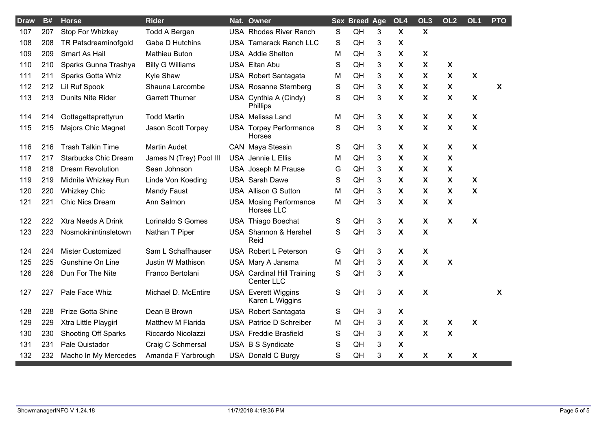| <b>Draw</b> | B#  | <b>Horse</b>                | <b>Rider</b>             | Nat. Owner                                      |             | <b>Sex Breed Age</b> |   | OL <sub>4</sub>           | OL <sub>3</sub>           | OL <sub>2</sub>           | OL <sub>1</sub>           | <b>PTO</b> |
|-------------|-----|-----------------------------|--------------------------|-------------------------------------------------|-------------|----------------------|---|---------------------------|---------------------------|---------------------------|---------------------------|------------|
| 107         | 207 | Stop For Whizkey            | <b>Todd A Bergen</b>     | <b>USA Rhodes River Ranch</b>                   | S           | QH                   | 3 | $\boldsymbol{\mathsf{X}}$ | $\boldsymbol{\mathsf{X}}$ |                           |                           |            |
| 108         | 208 | TR Patsdreaminofgold        | Gabe D Hutchins          | <b>USA Tamarack Ranch LLC</b>                   | S           | QH                   | 3 | X                         |                           |                           |                           |            |
| 109         | 209 | Smart As Hail               | <b>Mathieu Buton</b>     | <b>USA</b> Addie Shelton                        | М           | QH                   | 3 | X                         | $\boldsymbol{\mathsf{X}}$ |                           |                           |            |
| 110         | 210 | Sparks Gunna Trashya        | <b>Billy G Williams</b>  | USA Eitan Abu                                   | S           | QH                   | 3 | X                         | X                         | $\boldsymbol{\mathsf{X}}$ |                           |            |
| 111         | 211 | Sparks Gotta Whiz           | Kyle Shaw                | USA Robert Santagata                            | М           | QH                   | 3 | X                         | $\boldsymbol{\mathsf{X}}$ | $\boldsymbol{\mathsf{X}}$ | $\boldsymbol{\mathsf{X}}$ |            |
| 112         | 212 | <b>Lil Ruf Spook</b>        | Shauna Larcombe          | <b>USA</b> Rosanne Sternberg                    | S           | QH                   | 3 | X                         | X                         | $\boldsymbol{\mathsf{X}}$ |                           | X          |
| 113         | 213 | <b>Dunits Nite Rider</b>    | <b>Garrett Thurner</b>   | USA Cynthia A (Cindy)<br>Phillips               | S           | QH                   | 3 | X                         | X                         | $\boldsymbol{\mathsf{X}}$ | $\boldsymbol{\mathsf{X}}$ |            |
| 114         | 214 | Gottagettaprettyrun         | <b>Todd Martin</b>       | <b>USA</b> Melissa Land                         | М           | QH                   | 3 | X                         | X                         | X                         | $\boldsymbol{\mathsf{X}}$ |            |
| 115         | 215 | Majors Chic Magnet          | Jason Scott Torpey       | <b>USA Torpey Performance</b><br><b>Horses</b>  | $\mathbf S$ | QH                   | 3 | $\pmb{\mathsf{X}}$        | $\boldsymbol{\mathsf{X}}$ | $\boldsymbol{\mathsf{X}}$ | $\boldsymbol{\mathsf{X}}$ |            |
| 116         | 216 | <b>Trash Talkin Time</b>    | <b>Martin Audet</b>      | CAN Maya Stessin                                | S           | QH                   | 3 | $\boldsymbol{\mathsf{X}}$ | $\boldsymbol{\mathsf{X}}$ | $\boldsymbol{\mathsf{X}}$ | $\boldsymbol{\mathsf{X}}$ |            |
| 117         | 217 | <b>Starbucks Chic Dream</b> | James N (Trey) Pool III  | USA Jennie L Ellis                              | М           | QH                   | 3 | $\boldsymbol{\mathsf{X}}$ | X                         | $\boldsymbol{\mathsf{X}}$ |                           |            |
| 118         | 218 | <b>Dream Revolution</b>     | Sean Johnson             | USA Joseph M Prause                             | G           | QH                   | 3 | X                         | $\boldsymbol{\mathsf{X}}$ | $\boldsymbol{\mathsf{X}}$ |                           |            |
| 119         | 219 | Midnite Whizkey Run         | Linde Von Koeding        | <b>USA Sarah Dawe</b>                           | S           | QH                   | 3 | $\boldsymbol{\mathsf{X}}$ | $\boldsymbol{\mathsf{X}}$ | $\boldsymbol{\mathsf{X}}$ | $\boldsymbol{\mathsf{X}}$ |            |
| 120         | 220 | <b>Whizkey Chic</b>         | <b>Mandy Faust</b>       | <b>USA Allison G Sutton</b>                     | M           | QH                   | 3 | X                         | X                         | $\boldsymbol{\mathsf{X}}$ | $\boldsymbol{\mathsf{X}}$ |            |
| 121         | 221 | Chic Nics Dream             | Ann Salmon               | <b>USA</b> Mosing Performance<br>Horses LLC     | М           | QH                   | 3 | X                         | X                         | $\boldsymbol{\mathsf{X}}$ |                           |            |
| 122         | 222 | Xtra Needs A Drink          | Lorinaldo S Gomes        | USA Thiago Boechat                              | S           | QH                   | 3 | X                         | $\boldsymbol{\mathsf{X}}$ | $\boldsymbol{\mathsf{X}}$ | $\boldsymbol{\mathsf{X}}$ |            |
| 123         | 223 | Nosmokinintinsletown        | Nathan T Piper           | USA Shannon & Hershel<br>Reid                   | S           | QH                   | 3 | $\boldsymbol{\mathsf{X}}$ | X                         |                           |                           |            |
| 124         | 224 | Mister Customized           | Sam L Schaffhauser       | <b>USA Robert L Peterson</b>                    | G           | QH                   | 3 | $\boldsymbol{\mathsf{X}}$ | $\boldsymbol{\mathsf{X}}$ |                           |                           |            |
| 125         | 225 | <b>Gunshine On Line</b>     | <b>Justin W Mathison</b> | USA Mary A Jansma                               | М           | QH                   | 3 | X                         | $\boldsymbol{\mathsf{X}}$ | $\boldsymbol{\mathsf{X}}$ |                           |            |
| 126         | 226 | Dun For The Nite            | Franco Bertolani         | <b>USA Cardinal Hill Training</b><br>Center LLC | S           | QH                   | 3 | $\boldsymbol{\mathsf{X}}$ |                           |                           |                           |            |
| 127         | 227 | Pale Face Whiz              | Michael D. McEntire      | <b>USA</b> Everett Wiggins<br>Karen L Wiggins   | S           | QH                   | 3 | $\boldsymbol{\mathsf{X}}$ | $\boldsymbol{\mathsf{X}}$ |                           |                           | X.         |
| 128         | 228 | <b>Prize Gotta Shine</b>    | Dean B Brown             | USA Robert Santagata                            | S           | QH                   | 3 | X                         |                           |                           |                           |            |
| 129         | 229 | Xtra Little Playgirl        | Matthew M Flarida        | USA Patrice D Schreiber                         | Μ           | QH                   | 3 | $\pmb{\mathsf{X}}$        | $\boldsymbol{\mathsf{X}}$ | $\boldsymbol{\mathsf{X}}$ | $\boldsymbol{\mathsf{X}}$ |            |
| 130         | 230 | <b>Shooting Off Sparks</b>  | Riccardo Nicolazzi       | <b>USA Freddie Brasfield</b>                    | S           | QH                   | 3 | $\boldsymbol{\mathsf{X}}$ | $\boldsymbol{\mathsf{X}}$ | $\boldsymbol{\mathsf{X}}$ |                           |            |
| 131         | 231 | Pale Quistador              | Craig C Schmersal        | USA B S Syndicate                               | S           | QH                   | 3 | X                         |                           |                           |                           |            |
| 132         | 232 | Macho In My Mercedes        | Amanda F Yarbrough       | USA Donald C Burgy                              | S           | QH                   | 3 | X                         | $\boldsymbol{\mathsf{X}}$ | $\boldsymbol{\mathsf{X}}$ | $\pmb{\mathsf{X}}$        |            |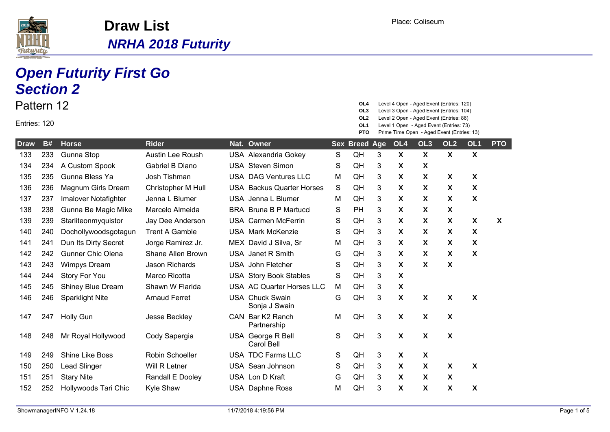

## **Open Futurity First Go**

|                            |     | <b>Section 2</b>         |                          |                                         |             |                                                    |   |                           |                                                                                                                                                                                                                          |                           |                           |                  |
|----------------------------|-----|--------------------------|--------------------------|-----------------------------------------|-------------|----------------------------------------------------|---|---------------------------|--------------------------------------------------------------------------------------------------------------------------------------------------------------------------------------------------------------------------|---------------------------|---------------------------|------------------|
| Pattern 12<br>Entries: 120 |     |                          |                          |                                         |             | OL4<br>OL3<br>OL <sub>2</sub><br>OL1<br><b>PTO</b> |   |                           | Level 4 Open - Aged Event (Entries: 120)<br>Level 3 Open - Aged Event (Entries: 104)<br>Level 2 Open - Aged Event (Entries: 86)<br>Level 1 Open - Aged Event (Entries: 73)<br>Prime Time Open - Aged Event (Entries: 13) |                           |                           |                  |
| <b>Draw</b>                | B#  | <b>Horse</b>             | <b>Rider</b>             | Nat. Owner                              |             | <b>Sex Breed Age</b>                               |   | OL4                       | OL <sub>3</sub>                                                                                                                                                                                                          | OL <sub>2</sub>           | OL <sub>1</sub>           | <b>PTO</b>       |
| 133                        | 233 | Gunna Stop               | <b>Austin Lee Roush</b>  | <b>USA Alexandria Gokey</b>             | S           | QH                                                 | 3 | X                         | X                                                                                                                                                                                                                        | $\boldsymbol{\mathsf{X}}$ | $\boldsymbol{\mathsf{X}}$ |                  |
| 134                        | 234 | A Custom Spook           | Gabriel B Diano          | <b>USA Steven Simon</b>                 | S           | QH                                                 | 3 | X                         | X                                                                                                                                                                                                                        |                           |                           |                  |
| 135                        | 235 | Gunna Bless Ya           | Josh Tishman             | <b>USA DAG Ventures LLC</b>             | M           | QH                                                 | 3 | X                         | X                                                                                                                                                                                                                        | X                         | X                         |                  |
| 136                        | 236 | Magnum Girls Dream       | Christopher M Hull       | <b>USA Backus Quarter Horses</b>        | $\mathbf S$ | QH                                                 | 3 | $\boldsymbol{\mathsf{X}}$ | X                                                                                                                                                                                                                        | X                         | X                         |                  |
| 137                        | 237 | Imalover Notafighter     | Jenna L Blumer           | USA Jenna L Blumer                      | M           | QH                                                 | 3 | X                         | X                                                                                                                                                                                                                        | X                         | X                         |                  |
| 138                        | 238 | Gunna Be Magic Mike      | Marcelo Almeida          | <b>BRA</b> Bruna B P Martucci           | S           | PH                                                 | 3 | X                         | X                                                                                                                                                                                                                        | X                         |                           |                  |
| 139                        | 239 | Starliteonmyquistor      | Jay Dee Anderson         | <b>USA Carmen McFerrin</b>              | S           | QH                                                 | 3 | X                         | X                                                                                                                                                                                                                        | X                         | X                         | $\boldsymbol{X}$ |
| 140                        | 240 | Dochollywoodsgotagun     | <b>Trent A Gamble</b>    | <b>USA Mark McKenzie</b>                | S           | QH                                                 | 3 | $\mathsf{x}$              | X                                                                                                                                                                                                                        | X                         | X                         |                  |
| 141                        | 241 | Dun Its Dirty Secret     | Jorge Ramirez Jr.        | MEX David J Silva, Sr                   | M           | QH                                                 | 3 | X                         | X                                                                                                                                                                                                                        | X                         | X                         |                  |
| 142                        | 242 | <b>Gunner Chic Olena</b> | <b>Shane Allen Brown</b> | USA Janet R Smith                       | G           | QH                                                 | 3 | X                         | X                                                                                                                                                                                                                        | X                         | X                         |                  |
| 143                        | 243 | <b>Wimpys Dream</b>      | <b>Jason Richards</b>    | <b>USA</b> John Fletcher                | S           | QH                                                 | 3 | $\boldsymbol{\mathsf{X}}$ | X                                                                                                                                                                                                                        | $\boldsymbol{\mathsf{X}}$ |                           |                  |
| 144                        | 244 | Story For You            | Marco Ricotta            | <b>USA Story Book Stables</b>           | S           | QH                                                 | 3 | X                         |                                                                                                                                                                                                                          |                           |                           |                  |
| 145                        | 245 | <b>Shiney Blue Dream</b> | Shawn W Flarida          | USA AC Quarter Horses LLC               | M           | QH                                                 | 3 | Χ                         |                                                                                                                                                                                                                          |                           |                           |                  |
| 146                        | 246 | <b>Sparklight Nite</b>   | <b>Arnaud Ferret</b>     | <b>USA Chuck Swain</b><br>Sonja J Swain | G           | QH                                                 | 3 | X                         | X                                                                                                                                                                                                                        | X                         | $\boldsymbol{\mathsf{X}}$ |                  |
| 147                        | 247 | <b>Holly Gun</b>         | Jesse Beckley            | CAN Bar K2 Ranch<br>Partnership         | M           | QH                                                 | 3 | X                         | X                                                                                                                                                                                                                        | X                         |                           |                  |
| 148                        | 248 | Mr Royal Hollywood       | Cody Sapergia            | USA George R Bell<br>Carol Bell         | S           | QH                                                 | 3 | X                         | X                                                                                                                                                                                                                        | $\boldsymbol{\mathsf{X}}$ |                           |                  |
| 149                        | 249 | Shine Like Boss          | Robin Schoeller          | USA TDC Farms LLC                       | S           | QH                                                 | 3 | X                         | $\pmb{\mathsf{X}}$                                                                                                                                                                                                       |                           |                           |                  |
| 150                        | 250 | <b>Lead Slinger</b>      | Will R Letner            | <b>USA</b> Sean Johnson                 | S           | QH                                                 | 3 | X                         | X                                                                                                                                                                                                                        | X                         | X                         |                  |
| 151                        | 251 | <b>Stary Nite</b>        | Randall E Dooley         | USA Lon D Kraft                         | G           | QH                                                 | 3 | X                         | X                                                                                                                                                                                                                        | X                         |                           |                  |
| 152                        | 252 | Hollywoods Tari Chic     | Kyle Shaw                | USA Daphne Ross                         | М           | QH                                                 | 3 | X                         | X                                                                                                                                                                                                                        | Χ                         | X                         |                  |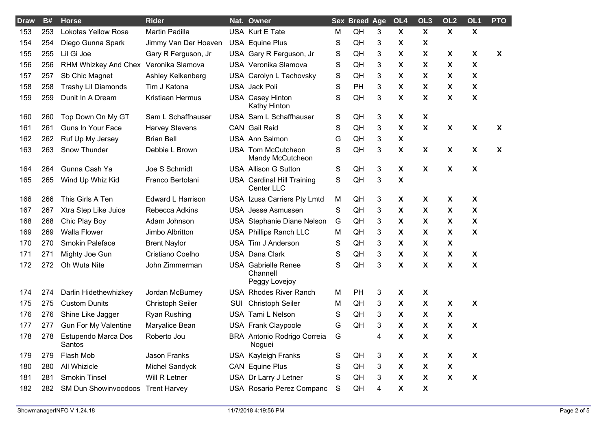| <b>Draw</b> | B#  | <b>Horse</b>                      | <b>Rider</b>             |     | Nat. Owner                                              |   | <b>Sex Breed Age</b> |   | OL <sub>4</sub>           | OL <sub>3</sub>           | OL <sub>2</sub>           | OL1                       | <b>PTO</b> |
|-------------|-----|-----------------------------------|--------------------------|-----|---------------------------------------------------------|---|----------------------|---|---------------------------|---------------------------|---------------------------|---------------------------|------------|
| 153         | 253 | <b>Lokotas Yellow Rose</b>        | Martin Padilla           |     | USA Kurt E Tate                                         | M | QH                   | 3 | $\boldsymbol{\mathsf{X}}$ | $\boldsymbol{\mathsf{X}}$ | $\boldsymbol{\mathsf{X}}$ | $\boldsymbol{\mathsf{X}}$ |            |
| 154         | 254 | Diego Gunna Spark                 | Jimmy Van Der Hoeven     |     | <b>USA Equine Plus</b>                                  | S | QH                   | 3 | X                         | X                         |                           |                           |            |
| 155         | 255 | Lil Gi Joe                        | Gary R Ferguson, Jr      |     | USA Gary R Ferguson, Jr                                 | S | QH                   | 3 | X                         | X                         | X                         | X                         | X          |
| 156         | 256 | RHM Whizkey And Chex              | Veronika Slamova         |     | USA Veronika Slamova                                    | S | QH                   | 3 | X                         | X                         | X                         | X                         |            |
| 157         | 257 | Sb Chic Magnet                    | Ashley Kelkenberg        |     | USA Carolyn L Tachovsky                                 | S | QH                   | 3 | X                         | X                         | X                         | X                         |            |
| 158         | 258 | <b>Trashy Lil Diamonds</b>        | Tim J Katona             |     | USA Jack Poli                                           | S | PH                   | 3 | X                         | X                         | X                         | X                         |            |
| 159         | 259 | Dunit In A Dream                  | Kristiaan Hermus         |     | <b>USA Casey Hinton</b><br><b>Kathy Hinton</b>          | S | QH                   | 3 | X                         | X                         | $\boldsymbol{\mathsf{X}}$ | $\boldsymbol{\mathsf{X}}$ |            |
| 160         | 260 | Top Down On My GT                 | Sam L Schaffhauser       |     | USA Sam L Schaffhauser                                  | S | QH                   | 3 | X                         | X                         |                           |                           |            |
| 161         | 261 | <b>Guns In Your Face</b>          | <b>Harvey Stevens</b>    |     | <b>CAN</b> Gail Reid                                    | S | QH                   | 3 | X                         | $\boldsymbol{\mathsf{X}}$ | $\boldsymbol{\mathsf{X}}$ | $\boldsymbol{\mathsf{X}}$ | X          |
| 162         | 262 | Ruf Up My Jersey                  | <b>Brian Bell</b>        |     | <b>USA Ann Salmon</b>                                   | G | QH                   | 3 | X                         |                           |                           |                           |            |
| 163         | 263 | Snow Thunder                      | Debbie L Brown           |     | USA Tom McCutcheon<br>Mandy McCutcheon                  | S | QH                   | 3 | X                         | X                         | X                         | $\boldsymbol{\mathsf{X}}$ | X          |
| 164         | 264 | Gunna Cash Ya                     | Joe S Schmidt            |     | <b>USA Allison G Sutton</b>                             | S | QH                   | 3 | X                         | X                         | X                         | X                         |            |
| 165         | 265 | Wind Up Whiz Kid                  | Franco Bertolani         |     | <b>USA Cardinal Hill Training</b><br>Center LLC         | S | QH                   | 3 | X                         |                           |                           |                           |            |
| 166         | 266 | This Girls A Ten                  | <b>Edward L Harrison</b> |     | USA Izusa Carriers Pty Lmtd                             | M | QH                   | 3 | X                         | X                         | X                         | X                         |            |
| 167         | 267 | Xtra Step Like Juice              | Rebecca Adkins           |     | <b>USA</b> Jesse Asmussen                               | S | QH                   | 3 | $\boldsymbol{\mathsf{X}}$ | $\boldsymbol{\mathsf{X}}$ | $\boldsymbol{\mathsf{X}}$ | X                         |            |
| 168         | 268 | Chic Play Boy                     | Adam Johnson             |     | USA Stephanie Diane Nelson                              | G | QH                   | 3 | X                         | X                         | X                         | X                         |            |
| 169         | 269 | <b>Walla Flower</b>               | Jimbo Albritton          |     | USA Phillips Ranch LLC                                  | M | QH                   | 3 | X                         | $\boldsymbol{\mathsf{X}}$ | X                         | $\boldsymbol{\mathsf{X}}$ |            |
| 170         | 270 | Smokin Paleface                   | <b>Brent Naylor</b>      |     | USA Tim J Anderson                                      | S | QH                   | 3 | X                         | X                         | X                         |                           |            |
| 171         | 271 | Mighty Joe Gun                    | Cristiano Coelho         |     | <b>USA Dana Clark</b>                                   | S | QH                   | 3 | X                         | X                         | X                         | X                         |            |
| 172         | 272 | Oh Wuta Nite                      | John Zimmerman           |     | <b>USA</b> Gabrielle Renee<br>Channell<br>Peggy Lovejoy | S | QH                   | 3 | X                         | X                         | $\boldsymbol{\mathsf{X}}$ | X                         |            |
| 174         | 274 | Darlin Hidethewhizkey             | Jordan McBurney          |     | <b>USA Rhodes River Ranch</b>                           | M | PH                   | 3 | X                         | X                         |                           |                           |            |
| 175         | 275 | <b>Custom Dunits</b>              | <b>Christoph Seiler</b>  | SUI | <b>Christoph Seiler</b>                                 | M | QH                   | 3 | $\boldsymbol{\mathsf{X}}$ | $\boldsymbol{\mathsf{X}}$ | $\boldsymbol{\mathsf{X}}$ | $\boldsymbol{\mathsf{X}}$ |            |
| 176         | 276 | Shine Like Jagger                 | <b>Ryan Rushing</b>      |     | USA Tami L Nelson                                       | S | QH                   | 3 | $\boldsymbol{\mathsf{X}}$ | $\boldsymbol{\mathsf{X}}$ | $\boldsymbol{\mathsf{X}}$ |                           |            |
| 177         | 277 | <b>Gun For My Valentine</b>       | Maryalice Bean           |     | USA Frank Claypoole                                     | G | QH                   | 3 | X                         | X                         | $\boldsymbol{\mathsf{X}}$ | $\boldsymbol{\mathsf{X}}$ |            |
| 178         | 278 | Estupendo Marca Dos<br>Santos     | Roberto Jou              |     | BRA Antonio Rodrigo Correia<br>Noguei                   | G |                      | 4 | X                         | χ                         | $\pmb{\mathsf{X}}$        |                           |            |
| 179         | 279 | Flash Mob                         | Jason Franks             |     | <b>USA Kayleigh Franks</b>                              | S | QH                   | 3 | X                         | X                         | $\boldsymbol{\mathsf{X}}$ | $\boldsymbol{\mathsf{x}}$ |            |
| 180         | 280 | All Whizicle                      | Michel Sandyck           |     | <b>CAN</b> Equine Plus                                  | S | QH                   | 3 | $\pmb{\chi}$              | $\pmb{\chi}$              | $\boldsymbol{\mathsf{X}}$ |                           |            |
| 181         | 281 | <b>Smokin Tinsel</b>              | Will R Letner            |     | USA Dr Larry J Letner                                   | S | QH                   | 3 | $\boldsymbol{\mathsf{X}}$ | $\boldsymbol{\mathsf{X}}$ | $\boldsymbol{\mathsf{X}}$ | $\boldsymbol{\mathsf{X}}$ |            |
| 182         | 282 | SM Dun Showinvoodoos Trent Harvey |                          |     | USA Rosario Perez Companc                               | S | QH                   | 4 | X                         | $\pmb{\mathsf{X}}$        |                           |                           |            |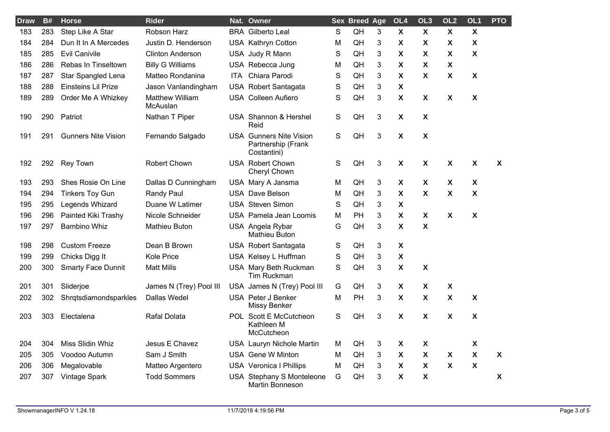| <b>Draw</b> | <b>B#</b> | <b>Horse</b>               | <b>Rider</b>                       |      | Nat. Owner                                                          |   | <b>Sex Breed Age</b> |                | OL <sub>4</sub>           | OL <sub>3</sub>           | OL <sub>2</sub>           | OL <sub>1</sub>           | <b>PTO</b>                |
|-------------|-----------|----------------------------|------------------------------------|------|---------------------------------------------------------------------|---|----------------------|----------------|---------------------------|---------------------------|---------------------------|---------------------------|---------------------------|
| 183         | 283       | Step Like A Star           | Robson Harz                        |      | <b>BRA</b> Gilberto Leal                                            | S | QH                   | 3              | $\boldsymbol{\mathsf{X}}$ | $\boldsymbol{\mathsf{X}}$ | $\boldsymbol{\mathsf{X}}$ | $\mathbf{X}$              |                           |
| 184         | 284       | Dun It In A Mercedes       | Justin D. Henderson                |      | USA Kathryn Cotton                                                  | M | QH                   | 3              | $\boldsymbol{\mathsf{X}}$ | X                         | X                         | X                         |                           |
| 185         | 285       | <b>Evil Canivile</b>       | <b>Clinton Anderson</b>            |      | USA Judy R Mann                                                     | S | QH                   | $\mathbf{3}$   | $\boldsymbol{\mathsf{X}}$ | X                         | $\boldsymbol{\mathsf{X}}$ | X                         |                           |
| 186         | 286       | Rebas In Tinseltown        | <b>Billy G Williams</b>            |      | USA Rebecca Jung                                                    | M | QH                   | $\mathbf{3}$   | $\boldsymbol{\mathsf{X}}$ | X                         | $\boldsymbol{\mathsf{X}}$ |                           |                           |
| 187         | 287       | Star Spangled Lena         | Matteo Rondanina                   | ITA. | Chiara Parodi                                                       | S | QH                   | 3              | $\boldsymbol{\mathsf{X}}$ | $\boldsymbol{\mathsf{X}}$ | $\boldsymbol{\mathsf{X}}$ | $\boldsymbol{\mathsf{X}}$ |                           |
| 188         | 288       | Einsteins Lil Prize        | Jason Vanlandingham                |      | <b>USA Robert Santagata</b>                                         | S | QH                   | 3              | $\boldsymbol{\mathsf{X}}$ |                           |                           |                           |                           |
| 189         | 289       | Order Me A Whizkey         | <b>Matthew William</b><br>McAuslan |      | <b>USA Colleen Aufiero</b>                                          | S | QH                   | 3              | $\boldsymbol{\mathsf{X}}$ | $\boldsymbol{\mathsf{X}}$ | X                         | χ                         |                           |
| 190         | 290       | Patriot                    | Nathan T Piper                     |      | USA Shannon & Hershel<br>Reid                                       | S | QH                   | $\mathbf{3}$   | $\boldsymbol{\mathsf{X}}$ | X                         |                           |                           |                           |
| 191         | 291       | <b>Gunners Nite Vision</b> | Fernando Salgado                   |      | <b>USA Gunners Nite Vision</b><br>Partnership (Frank<br>Costantini) | S | QH                   | $\mathfrak{S}$ | $\pmb{\chi}$              | $\boldsymbol{\mathsf{X}}$ |                           |                           |                           |
| 192         | 292       | <b>Rey Town</b>            | Robert Chown                       |      | <b>USA Robert Chown</b><br>Cheryl Chown                             | S | QH                   | $\mathbf{3}$   | $\boldsymbol{\mathsf{X}}$ | X                         | $\boldsymbol{\mathsf{X}}$ | X                         | $\boldsymbol{\mathsf{X}}$ |
| 193         | 293       | Shes Rosie On Line         | Dallas D Cunningham                |      | USA Mary A Jansma                                                   | M | QH                   | $\mathbf{3}$   | X                         | X                         | X                         | X                         |                           |
| 194         | 294       | <b>Tinkers Toy Gun</b>     | Randy Paul                         |      | <b>USA Dave Belson</b>                                              | M | QH                   | 3              | $\boldsymbol{\mathsf{X}}$ | X                         | $\boldsymbol{\mathsf{X}}$ | $\boldsymbol{\mathsf{X}}$ |                           |
| 195         | 295       | Legends Whizard            | Duane W Latimer                    |      | <b>USA Steven Simon</b>                                             | S | QH                   | $\mathbf{3}$   | $\boldsymbol{\mathsf{X}}$ |                           |                           |                           |                           |
| 196         | 296       | Painted Kiki Trashy        | Nicole Schneider                   |      | USA Pamela Jean Loomis                                              | M | PH                   | 3              | $\boldsymbol{\mathsf{X}}$ | X                         | X                         | X                         |                           |
| 197         | 297       | <b>Bambino Whiz</b>        | <b>Mathieu Buton</b>               |      | USA Angela Rybar<br><b>Mathieu Buton</b>                            | G | QH                   | 3              | $\pmb{\chi}$              | X                         |                           |                           |                           |
| 198         | 298       | <b>Custom Freeze</b>       | Dean B Brown                       |      | USA Robert Santagata                                                | S | QH                   | 3              | $\boldsymbol{\mathsf{X}}$ |                           |                           |                           |                           |
| 199         | 299       | Chicks Digg It             | <b>Kole Price</b>                  |      | USA Kelsey L Huffman                                                | S | QH                   | 3              | $\pmb{\chi}$              |                           |                           |                           |                           |
| 200         | 300       | <b>Smarty Face Dunnit</b>  | <b>Matt Mills</b>                  |      | USA Mary Beth Ruckman<br><b>Tim Ruckman</b>                         | S | QH                   | 3              | $\boldsymbol{\mathsf{X}}$ | X                         |                           |                           |                           |
| 201         | 301       | Sliderjoe                  | James N (Trey) Pool III            |      | USA James N (Trey) Pool III                                         | G | QH                   | 3              | $\boldsymbol{\mathsf{X}}$ | X                         | X                         |                           |                           |
| 202         | 302       | Shrqtsdiamondsparkles      | Dallas Wedel                       |      | USA Peter J Benker<br><b>Missy Benker</b>                           | M | PH                   | 3              | $\boldsymbol{\mathsf{X}}$ | X                         | $\boldsymbol{\mathsf{X}}$ | X                         |                           |
| 203         | 303       | Electalena                 | Rafal Dolata                       |      | POL Scott E McCutcheon<br>Kathleen M<br>McCutcheon                  | S | QH                   | 3              | $\boldsymbol{\mathsf{X}}$ | $\boldsymbol{\mathsf{X}}$ | $\boldsymbol{\mathsf{x}}$ | $\boldsymbol{\mathsf{X}}$ |                           |
| 204         | 304       | Miss Slidin Whiz           | Jesus E Chavez                     |      | USA Lauryn Nichole Martin                                           | м | QH                   | 3              | $\boldsymbol{\mathsf{X}}$ | X                         |                           | X                         |                           |
| 205         | 305       | Voodoo Autumn              | Sam J Smith                        |      | <b>USA</b> Gene W Minton                                            | M | QH                   | 3              | $\boldsymbol{\mathsf{X}}$ | $\boldsymbol{\mathsf{X}}$ | X                         | $\mathbf{x}$              | X                         |
| 206         | 306       | Megalovable                | Matteo Argentero                   |      | USA Veronica I Phillips                                             | M | QH                   | 3              | $\boldsymbol{\mathsf{X}}$ | $\boldsymbol{\mathsf{X}}$ | $\boldsymbol{\mathsf{X}}$ | $\boldsymbol{\mathsf{X}}$ |                           |
| 207         | 307       | Vintage Spark              | <b>Todd Sommers</b>                |      | USA Stephany S Monteleone<br>Martin Bonneson                        | G | QH                   | 3              | X                         | $\boldsymbol{\mathsf{X}}$ |                           |                           | X                         |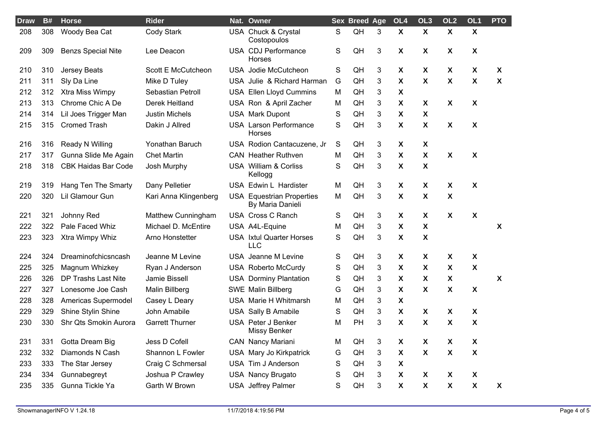| <b>Draw</b> | <b>B#</b> | <b>Horse</b>               | <b>Rider</b>           | Nat. Owner                                           |             | <b>Sex Breed Age</b> |                | OL <sub>4</sub>           | OL <sub>3</sub>           | OL <sub>2</sub>           | OL <sub>1</sub>           | <b>PTO</b>                |
|-------------|-----------|----------------------------|------------------------|------------------------------------------------------|-------------|----------------------|----------------|---------------------------|---------------------------|---------------------------|---------------------------|---------------------------|
| 208         | 308       | Woody Bea Cat              | Cody Stark             | USA Chuck & Crystal<br>Costopoulos                   | $\mathsf S$ | QH                   | 3              | $\boldsymbol{\mathsf{X}}$ | $\boldsymbol{\mathsf{X}}$ | $\mathbf{x}$              | $\mathsf{X}$              |                           |
| 209         | 309       | <b>Benzs Special Nite</b>  | Lee Deacon             | USA CDJ Performance<br>Horses                        | S           | QH                   | $\mathfrak{Z}$ | $\pmb{\chi}$              | $\boldsymbol{\mathsf{X}}$ | X                         | X                         |                           |
| 210         | 310       | <b>Jersey Beats</b>        | Scott E McCutcheon     | USA Jodie McCutcheon                                 | S           | QH                   | $\mathfrak{Z}$ | $\pmb{\chi}$              | $\boldsymbol{\mathsf{X}}$ | X                         | $\boldsymbol{\mathsf{X}}$ | $\boldsymbol{\mathsf{X}}$ |
| 211         | 311       | Sly Da Line                | Mike D Tuley           | USA Julie & Richard Harman                           | G           | QH                   | 3              | $\boldsymbol{\mathsf{X}}$ | X                         | $\boldsymbol{\mathsf{x}}$ | X                         | $\boldsymbol{\mathsf{X}}$ |
| 212         | 312       | Xtra Miss Wimpy            | Sebastian Petroll      | <b>USA Ellen Lloyd Cummins</b>                       | M           | QH                   | 3              | $\boldsymbol{\mathsf{X}}$ |                           |                           |                           |                           |
| 213         | 313       | Chrome Chic A De           | Derek Heitland         | USA Ron & April Zacher                               | M           | QH                   | 3              | $\pmb{\chi}$              | X                         | X                         | X                         |                           |
| 214         | 314       | Lil Joes Trigger Man       | <b>Justin Michels</b>  | <b>USA Mark Dupont</b>                               | $\mathbf S$ | QH                   | 3              | $\boldsymbol{\mathsf{X}}$ | X                         |                           |                           |                           |
| 215         | 315       | <b>Cromed Trash</b>        | Dakin J Allred         | <b>USA Larson Performance</b><br>Horses              | S           | QH                   | 3              | $\pmb{\chi}$              | X                         | $\boldsymbol{\mathsf{X}}$ | X                         |                           |
| 216         | 316       | Ready N Willing            | Yonathan Baruch        | USA Rodion Cantacuzene, Jr                           | S           | QH                   | 3              | X                         | X                         |                           |                           |                           |
| 217         | 317       | Gunna Slide Me Again       | <b>Chet Martin</b>     | <b>CAN</b> Heather Ruthven                           | М           | QH                   | 3              | $\boldsymbol{\mathsf{X}}$ | $\boldsymbol{\mathsf{X}}$ | $\mathsf{x}$              | X                         |                           |
| 218         | 318       | <b>CBK Haidas Bar Code</b> | Josh Murphy            | <b>USA William &amp; Corliss</b><br>Kellogg          | S           | QH                   | 3              | $\boldsymbol{\mathsf{X}}$ | X                         |                           |                           |                           |
| 219         | 319       | Hang Ten The Smarty        | Dany Pelletier         | USA Edwin L Hardister                                | M           | QH                   | 3              | $\boldsymbol{\mathsf{X}}$ | X                         | $\boldsymbol{\mathsf{X}}$ | X                         |                           |
| 220         | 320       | Lil Glamour Gun            | Kari Anna Klingenberg  | <b>USA</b> Equestrian Properties<br>By Maria Danieli | M           | QH                   | 3              | $\pmb{\chi}$              | $\pmb{\mathsf{X}}$        | $\pmb{\mathsf{X}}$        |                           |                           |
| 221         | 321       | Johnny Red                 | Matthew Cunningham     | <b>USA Cross C Ranch</b>                             | S           | QH                   | 3              | $\boldsymbol{\mathsf{X}}$ | $\boldsymbol{\mathsf{X}}$ | $\boldsymbol{\mathsf{X}}$ | $\pmb{\mathsf{X}}$        |                           |
| 222         | 322       | Pale Faced Whiz            | Michael D. McEntire    | USA A4L-Equine                                       | M           | QH                   | 3              | $\boldsymbol{\mathsf{X}}$ | X                         |                           |                           | $\boldsymbol{\mathsf{X}}$ |
| 223         | 323       | Xtra Wimpy Whiz            | Arno Honstetter        | <b>USA</b> Ixtul Quarter Horses<br>LLC               | S           | QH                   | 3              | $\pmb{\chi}$              | X                         |                           |                           |                           |
| 224         | 324       | Dreaminofchicsncash        | Jeanne M Levine        | USA Jeanne M Levine                                  | S           | QH                   | 3              | $\boldsymbol{\mathsf{X}}$ | X                         | $\boldsymbol{\mathsf{X}}$ | X                         |                           |
| 225         | 325       | Magnum Whizkey             | Ryan J Anderson        | <b>USA Roberto McCurdy</b>                           | S           | QH                   | 3              | $\boldsymbol{\mathsf{X}}$ | X                         | $\boldsymbol{\mathsf{x}}$ | X                         |                           |
| 226         | 326       | DP Trashs Last Nite        | Jamie Bissell          | <b>USA Dorminy Plantation</b>                        | $\mathbf S$ | QH                   | 3              | $\boldsymbol{\mathsf{X}}$ | $\boldsymbol{\mathsf{X}}$ | X                         |                           | $\boldsymbol{\mathsf{X}}$ |
| 227         | 327       | Lonesome Joe Cash          | Malin Billberg         | <b>SWE Malin Billberg</b>                            | G           | QH                   | 3              | $\pmb{\chi}$              | $\boldsymbol{\mathsf{X}}$ | $\pmb{\mathsf{X}}$        | X                         |                           |
| 228         | 328       | Americas Supermodel        | Casey L Deary          | USA Marie H Whitmarsh                                | M           | QH                   | 3              | $\boldsymbol{\mathsf{X}}$ |                           |                           |                           |                           |
| 229         | 329       | Shine Stylin Shine         | John Amabile           | <b>USA Sally B Amabile</b>                           | S           | QH                   | 3              | $\boldsymbol{\mathsf{X}}$ | $\boldsymbol{\mathsf{X}}$ | X                         | X                         |                           |
| 230         | 330       | Shr Qts Smokin Aurora      | <b>Garrett Thurner</b> | USA Peter J Benker<br>Missy Benker                   | M           | PH                   | 3              | $\boldsymbol{\mathsf{X}}$ | X                         | X                         | $\mathbf{x}$              |                           |
| 231         | 331       | Gotta Dream Big            | Jess D Cofell          | <b>CAN Nancy Mariani</b>                             | M           | QH                   | 3              | $\boldsymbol{\mathsf{X}}$ | X                         | X                         | X                         |                           |
| 232         | 332       | Diamonds N Cash            | Shannon L Fowler       | USA Mary Jo Kirkpatrick                              | G           | QH                   | 3              | $\boldsymbol{\mathsf{X}}$ | X                         | $\boldsymbol{\mathsf{x}}$ | X                         |                           |
| 233         | 333       | The Star Jersey            | Craig C Schmersal      | USA Tim J Anderson                                   | S           | QH                   | 3              | $\pmb{\chi}$              |                           |                           |                           |                           |
| 234         | 334       | Gunnabegreyt               | Joshua P Crawley       | <b>USA Nancy Brugato</b>                             | S           | QH                   | 3              | $\pmb{\chi}$              | $\boldsymbol{\mathsf{X}}$ | $\boldsymbol{\mathsf{X}}$ | X                         |                           |
| 235         | 335       | Gunna Tickle Ya            | Garth W Brown          | <b>USA</b> Jeffrey Palmer                            | S           | QH                   | 3              | $\boldsymbol{\mathsf{X}}$ | X                         | $\boldsymbol{\mathsf{x}}$ | X                         | $\boldsymbol{X}$          |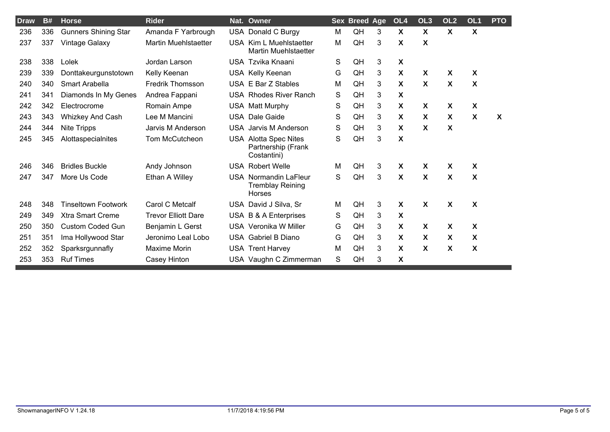| <b>Draw</b> | <b>B#</b> | <b>Horse</b>                | <b>Rider</b>                |            | Nat. Owner                                                        |   | <b>Sex Breed Age</b> |   | OL <sub>4</sub>           | OL <sub>3</sub>           | OL <sub>2</sub>           | OL <sub>1</sub>           | <b>PTO</b> |
|-------------|-----------|-----------------------------|-----------------------------|------------|-------------------------------------------------------------------|---|----------------------|---|---------------------------|---------------------------|---------------------------|---------------------------|------------|
| 236         | 336       | <b>Gunners Shining Star</b> | Amanda F Yarbrough          |            | USA Donald C Burgy                                                | M | QH                   | 3 | $\boldsymbol{\mathsf{X}}$ | X                         | $\boldsymbol{\mathsf{X}}$ | X                         |            |
| 237         | 337       | Vintage Galaxy              | <b>Martin Muehlstaetter</b> | USA        | Kim L Muehlstaetter<br><b>Martin Muehlstaetter</b>                | M | QH                   | 3 | X                         | X                         |                           |                           |            |
| 238         | 338       | Lolek                       | Jordan Larson               |            | USA Tzvika Knaani                                                 | S | QH                   | 3 | $\boldsymbol{\mathsf{X}}$ |                           |                           |                           |            |
| 239         | 339       | Donttakeurgunstotown        | Kelly Keenan                |            | USA Kelly Keenan                                                  | G | QH                   | 3 | X                         | X                         | X                         | X                         |            |
| 240         | 340       | Smart Arabella              | <b>Fredrik Thomsson</b>     |            | USA E Bar Z Stables                                               | M | QH                   | 3 | $\boldsymbol{\mathsf{X}}$ | $\boldsymbol{\mathsf{X}}$ | $\boldsymbol{\mathsf{X}}$ | X                         |            |
| 241         | 341       | Diamonds In My Genes        | Andrea Fappani              |            | <b>USA Rhodes River Ranch</b>                                     | S | QH                   | 3 | X                         |                           |                           |                           |            |
| 242         | 342       | Electrocrome                | Romain Ampe                 |            | USA Matt Murphy                                                   | S | QH                   | 3 | $\boldsymbol{\mathsf{X}}$ | $\boldsymbol{\mathsf{X}}$ | $\boldsymbol{\mathsf{X}}$ | $\boldsymbol{\mathsf{X}}$ |            |
| 243         | 343       | Whizkey And Cash            | Lee M Mancini               |            | <b>USA</b> Dale Gaide                                             | S | QH                   | 3 | X                         | X                         | X                         | X                         | X          |
| 244         | 344       | Nite Tripps                 | Jarvis M Anderson           |            | <b>USA</b> Jarvis M Anderson                                      | S | QH                   | 3 | X                         | X                         | X                         |                           |            |
| 245         | 345       | Alottaspecialnites          | Tom McCutcheon              |            | <b>USA Alotta Spec Nites</b><br>Partnership (Frank<br>Costantini) | S | QH                   | 3 | X                         |                           |                           |                           |            |
| 246         | 346       | <b>Bridles Buckle</b>       | Andy Johnson                |            | <b>USA Robert Welle</b>                                           | M | QH                   | 3 | X                         | X                         | X                         | X                         |            |
| 247         | 347       | More Us Code                | Ethan A Willey              | <b>USA</b> | Normandin LaFleur<br><b>Tremblay Reining</b><br>Horses            | S | QH                   | 3 | $\boldsymbol{\mathsf{X}}$ | X                         | X                         | X                         |            |
| 248         | 348       | <b>Tinseltown Footwork</b>  | Carol C Metcalf             |            | USA David J Silva, Sr                                             | M | QH                   | 3 | $\boldsymbol{\mathsf{X}}$ | $\boldsymbol{\mathsf{X}}$ | $\boldsymbol{\mathsf{X}}$ | X                         |            |
| 249         | 349       | <b>Xtra Smart Creme</b>     | <b>Trevor Elliott Dare</b>  |            | USA B & A Enterprises                                             | S | QH                   | 3 | $\boldsymbol{\mathsf{X}}$ |                           |                           |                           |            |
| 250         | 350       | <b>Custom Coded Gun</b>     | Benjamin L Gerst            |            | <b>USA Veronika W Miller</b>                                      | G | QH                   | 3 | X                         | X                         | $\boldsymbol{\mathsf{X}}$ | X                         |            |
| 251         | 351       | Ima Hollywood Star          | Jeronimo Leal Lobo          |            | USA Gabriel B Diano                                               | G | QH                   | 3 | X                         | $\boldsymbol{\mathsf{X}}$ | X                         | X                         |            |
| 252         | 352       | Sparksrgunnafly             | Maxime Morin                |            | <b>USA Trent Harvey</b>                                           | M | QH                   | 3 | X                         | X                         | X                         | X                         |            |
| 253         | 353       | <b>Ruf Times</b>            | Casey Hinton                |            | USA Vaughn C Zimmerman                                            | S | QH                   | 3 | X                         |                           |                           |                           |            |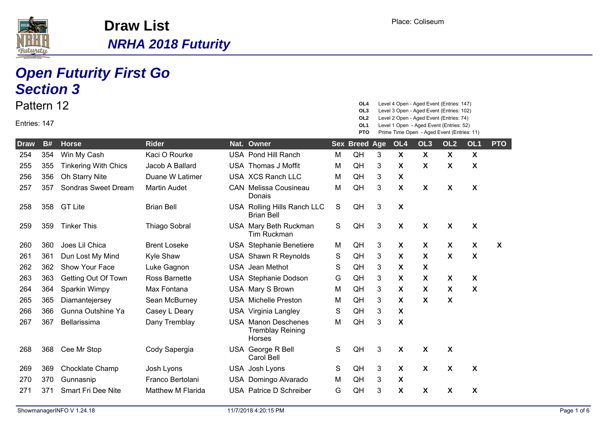

|              |           | <b>Open Futurity First Go</b><br><b>Section 3</b> |                          |                                                                 |   |                                      |   |                           |                                                                                                                                  |                           |                           |              |
|--------------|-----------|---------------------------------------------------|--------------------------|-----------------------------------------------------------------|---|--------------------------------------|---|---------------------------|----------------------------------------------------------------------------------------------------------------------------------|---------------------------|---------------------------|--------------|
| Pattern 12   |           |                                                   |                          |                                                                 |   | OL4<br>OL3                           |   |                           | Level 4 Open - Aged Event (Entries: 147)<br>Level 3 Open - Aged Event (Entries: 102)                                             |                           |                           |              |
| Entries: 147 |           |                                                   |                          |                                                                 |   | OL <sub>2</sub><br>OL1<br><b>PTO</b> |   |                           | Level 2 Open - Aged Event (Entries: 74)<br>Level 1 Open - Aged Event (Entries: 52)<br>Prime Time Open - Aged Event (Entries: 11) |                           |                           |              |
| <b>Draw</b>  | <b>B#</b> | <b>Horse</b>                                      | <b>Rider</b>             | Nat. Owner                                                      |   | <b>Sex Breed Age</b>                 |   | OL <sub>4</sub>           | OL <sub>3</sub>                                                                                                                  | OL <sub>2</sub>           | OL <sub>1</sub>           | <b>PTO</b>   |
| 254          | 354       | Win My Cash                                       | Kaci O Rourke            | <b>USA Pond Hill Ranch</b>                                      | M | QH                                   | 3 | $\boldsymbol{\mathsf{X}}$ | $\boldsymbol{\mathsf{X}}$                                                                                                        | $\boldsymbol{\mathsf{X}}$ | $\boldsymbol{\mathsf{X}}$ |              |
| 255          | 355       | <b>Tinkering With Chics</b>                       | Jacob A Ballard          | <b>USA Thomas J Moffit</b>                                      | м | QH                                   | 3 | X                         | X                                                                                                                                | X                         | X                         |              |
| 256          | 356       | Oh Starry Nite                                    | Duane W Latimer          | USA XCS Ranch LLC                                               | м | QH                                   | 3 | $\boldsymbol{\mathsf{X}}$ |                                                                                                                                  |                           |                           |              |
| 257          | 357       | Sondras Sweet Dream                               | <b>Martin Audet</b>      | <b>CAN</b> Melissa Cousineau<br>Donais                          | M | QH                                   | 3 | $\boldsymbol{\mathsf{X}}$ | $\boldsymbol{\mathsf{X}}$                                                                                                        | X                         | $\boldsymbol{\mathsf{X}}$ |              |
| 258          | 358       | <b>GT Lite</b>                                    | <b>Brian Bell</b>        | USA Rolling Hills Ranch LLC<br><b>Brian Bell</b>                | S | QH                                   | 3 | $\boldsymbol{\mathsf{X}}$ |                                                                                                                                  |                           |                           |              |
| 259          | 359       | <b>Tinker This</b>                                | <b>Thiago Sobral</b>     | USA Mary Beth Ruckman<br><b>Tim Ruckman</b>                     | S | QH                                   | 3 | $\boldsymbol{\mathsf{X}}$ | $\boldsymbol{\mathsf{X}}$                                                                                                        | X                         | X                         |              |
| 260          | 360       | Joes Lil Chica                                    | <b>Brent Loseke</b>      | <b>USA</b> Stephanie Benetiere                                  | M | QH                                   | 3 | X                         | X                                                                                                                                | X                         | X                         | $\mathbf{x}$ |
| 261          | 361       | Dun Lost My Mind                                  | Kyle Shaw                | USA Shawn R Reynolds                                            | S | QH                                   | 3 | X                         | X                                                                                                                                | X                         | X                         |              |
| 262          | 362       | Show Your Face                                    | Luke Gagnon              | <b>USA</b> Jean Methot                                          | S | QH                                   | 3 | X                         | $\boldsymbol{\mathsf{X}}$                                                                                                        |                           |                           |              |
| 263          | 363       | Getting Out Of Town                               | <b>Ross Barnette</b>     | USA Stephanie Dodson                                            | G | QH                                   | 3 | X                         | $\boldsymbol{\mathsf{X}}$                                                                                                        | X                         | X                         |              |
| 264          | 364       | Sparkin Wimpy                                     | Max Fontana              | USA Mary S Brown                                                | М | QH                                   | 3 | X                         | X                                                                                                                                | X                         | X                         |              |
| 265          | 365       | Diamantejersey                                    | Sean McBurney            | <b>USA</b> Michelle Preston                                     | M | QH                                   | 3 | X                         | $\boldsymbol{\mathsf{X}}$                                                                                                        | X                         |                           |              |
| 266          | 366       | Gunna Outshine Ya                                 | Casey L Deary            | USA Virginia Langley                                            | S | QH                                   | 3 | X                         |                                                                                                                                  |                           |                           |              |
| 267          | 367       | Bellarissima                                      | Dany Tremblay            | <b>USA Manon Deschenes</b><br><b>Tremblay Reining</b><br>Horses | M | QH                                   | 3 | $\boldsymbol{\mathsf{X}}$ |                                                                                                                                  |                           |                           |              |
| 268          | 368       | Cee Mr Stop                                       | Cody Sapergia            | USA George R Bell<br>Carol Bell                                 | S | QH                                   | 3 | $\boldsymbol{\mathsf{X}}$ | X                                                                                                                                | X                         |                           |              |
| 269          | 369       | Chocklate Champ                                   | Josh Lyons               | USA Josh Lyons                                                  | S | QH                                   | 3 | X                         | $\boldsymbol{\mathsf{X}}$                                                                                                        | X                         | X                         |              |
| 270          | 370       | Gunnasnip                                         | Franco Bertolani         | USA Domingo Alvarado                                            | М | QH                                   | 3 | $\boldsymbol{\mathsf{X}}$ |                                                                                                                                  |                           |                           |              |
| 271          | 371       | <b>Smart Fri Dee Nite</b>                         | <b>Matthew M Flarida</b> | USA Patrice D Schreiber                                         | G | QH                                   | 3 | X                         | X                                                                                                                                | X                         | X                         |              |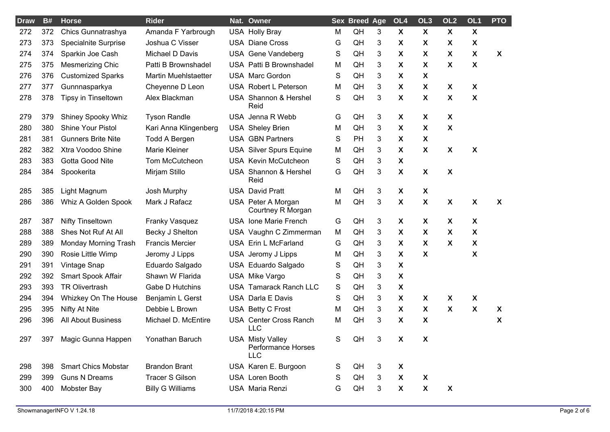| <b>Draw</b> | <b>B#</b> | <b>Horse</b>               | <b>Rider</b>                | Nat. Owner                                                  |   | <b>Sex Breed Age</b> |    | OL <sub>4</sub>           | OL <sub>3</sub>           | OL <sub>2</sub>           | OL1                       | <b>PTO</b>                |
|-------------|-----------|----------------------------|-----------------------------|-------------------------------------------------------------|---|----------------------|----|---------------------------|---------------------------|---------------------------|---------------------------|---------------------------|
| 272         | 372       | Chics Gunnatrashya         | Amanda F Yarbrough          | <b>USA Holly Bray</b>                                       | M | QH                   | 3  | $\boldsymbol{\mathsf{X}}$ | $\boldsymbol{\mathsf{X}}$ | X                         | $\boldsymbol{\mathsf{X}}$ |                           |
| 273         | 373       | Specialnite Surprise       | Joshua C Visser             | <b>USA Diane Cross</b>                                      | G | QH                   | 3  | X                         | X                         | X                         | X                         |                           |
| 274         | 374       | Sparkin Joe Cash           | Michael D Davis             | USA Gene Vandeberg                                          | S | QH                   | 3  | X                         | X                         | X.                        | X                         | $\boldsymbol{X}$          |
| 275         | 375       | <b>Mesmerizing Chic</b>    | Patti B Brownshadel         | <b>USA Patti B Brownshadel</b>                              | M | QH                   | 3  | X                         | X                         | X                         | X                         |                           |
| 276         | 376       | <b>Customized Sparks</b>   | <b>Martin Muehlstaetter</b> | USA Marc Gordon                                             | S | QH                   | 3  | X                         | X                         |                           |                           |                           |
| 277         | 377       | Gunnnasparkya              | Cheyenne D Leon             | USA Robert L Peterson                                       | M | QH                   | 3  | X                         | X                         | X                         | X                         |                           |
| 278         | 378       | Tipsy in Tinseltown        | Alex Blackman               | USA Shannon & Hershel<br>Reid                               | S | QH                   | 3  | X                         | X                         | X                         | X                         |                           |
| 279         | 379       | <b>Shiney Spooky Whiz</b>  | <b>Tyson Randle</b>         | USA Jenna R Webb                                            | G | QH                   | 3  | X                         | X                         | X                         |                           |                           |
| 280         | 380       | <b>Shine Your Pistol</b>   | Kari Anna Klingenberg       | <b>USA</b> Sheley Brien                                     | M | QH                   | 3  | X                         | X                         | X                         |                           |                           |
| 281         | 381       | <b>Gunners Brite Nite</b>  | <b>Todd A Bergen</b>        | <b>USA GBN Partners</b>                                     | S | PH                   | 3  | X                         | X                         |                           |                           |                           |
| 282         | 382       | Xtra Voodoo Shine          | Marie Kleiner               | <b>USA Silver Spurs Equine</b>                              | M | QH                   | 3  | X                         | X                         | $\boldsymbol{\mathsf{X}}$ | X                         |                           |
| 283         | 383       | Gotta Good Nite            | Tom McCutcheon              | USA Kevin McCutcheon                                        | S | QH                   | 3  | X                         |                           |                           |                           |                           |
| 284         | 384       | Spookerita                 | Mirjam Stillo               | USA Shannon & Hershel<br>Reid                               | G | QH                   | 3  | X                         | $\boldsymbol{\mathsf{X}}$ | X                         |                           |                           |
| 285         | 385       | Light Magnum               | Josh Murphy                 | <b>USA David Pratt</b>                                      | M | QH                   | 3  | X                         | X                         |                           |                           |                           |
| 286         | 386       | Whiz A Golden Spook        | Mark J Rafacz               | USA Peter A Morgan<br>Courtney R Morgan                     | M | QH                   | 3  | $\boldsymbol{\mathsf{X}}$ | X                         | X                         | X                         | $\boldsymbol{\mathsf{X}}$ |
| 287         | 387       | <b>Nifty Tinseltown</b>    | Franky Vasquez              | USA Ione Marie French                                       | G | QH                   | 3  | $\boldsymbol{\mathsf{X}}$ | X                         | X                         | X                         |                           |
| 288         | 388       | Shes Not Ruf At All        | Becky J Shelton             | USA Vaughn C Zimmerman                                      | M | QH                   | 3  | X                         | X                         | X                         | X                         |                           |
| 289         | 389       | Monday Morning Trash       | <b>Francis Mercier</b>      | USA Erin L McFarland                                        | G | QH                   | 3  | X                         | X                         | X                         | X                         |                           |
| 290         | 390       | Rosie Little Wimp          | Jeromy J Lipps              | USA Jeromy J Lipps                                          | M | QH                   | 3  | X                         | X                         |                           | X                         |                           |
| 291         | 391       | Vintage Snap               | Eduardo Salgado             | USA Eduardo Salgado                                         | S | QH                   | 3  | X                         |                           |                           |                           |                           |
| 292         | 392       | Smart Spook Affair         | Shawn W Flarida             | USA Mike Vargo                                              | S | QH                   | 3  | $\boldsymbol{\mathsf{X}}$ |                           |                           |                           |                           |
| 293         | 393       | <b>TR Olivertrash</b>      | Gabe D Hutchins             | <b>USA Tamarack Ranch LLC</b>                               | S | QH                   | 3  | $\boldsymbol{\mathsf{X}}$ |                           |                           |                           |                           |
| 294         | 394       | Whizkey On The House       | Benjamin L Gerst            | <b>USA Darla E Davis</b>                                    | S | QH                   | 3  | X                         | X                         | X                         | X                         |                           |
| 295         | 395       | Nifty At Nite              | Debbie L Brown              | USA Betty C Frost                                           | M | QH                   | 3  | X                         | X                         | X                         | X                         | X                         |
| 296         | 396       | <b>All About Business</b>  | Michael D. McEntire         | USA Center Cross Ranch<br><b>LLC</b>                        | M | QH                   | 3  | X                         | X                         |                           |                           | X                         |
| 297         |           | 397 Magic Gunna Happen     | Yonathan Baruch             | <b>USA Misty Valley</b><br>Performance Horses<br><b>LLC</b> | S | QH                   | 3. | X                         | X                         |                           |                           |                           |
| 298         | 398       | <b>Smart Chics Mobstar</b> | <b>Brandon Brant</b>        | USA Karen E. Burgoon                                        | S | QH                   | 3  | $\boldsymbol{\mathsf{X}}$ |                           |                           |                           |                           |
| 299         | 399       | <b>Guns N Dreams</b>       | <b>Tracer S Gilson</b>      | USA Loren Booth                                             | S | QH                   | 3  | X                         | X                         |                           |                           |                           |
| 300         | 400       | <b>Mobster Bay</b>         | <b>Billy G Williams</b>     | USA Maria Renzi                                             | G | QH                   | 3  | X                         | X                         | X                         |                           |                           |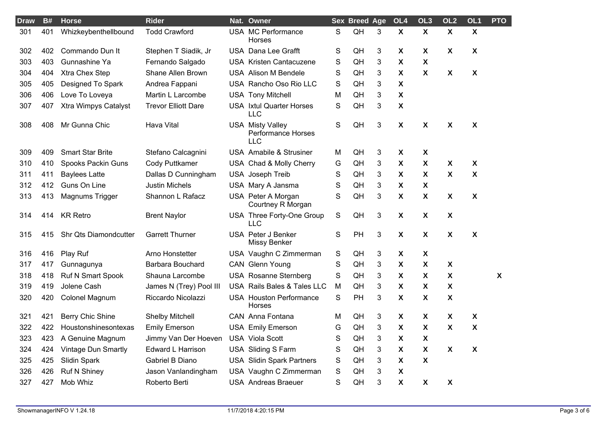| <b>Draw</b> | <b>B#</b> | <b>Horse</b>               | <b>Rider</b>               | Nat. Owner                                                         |             | <b>Sex Breed Age</b> |   | OL <sub>4</sub>           | OL <sub>3</sub>           | OL <sub>2</sub>           | OL <sub>1</sub>           | <b>PTO</b>                |
|-------------|-----------|----------------------------|----------------------------|--------------------------------------------------------------------|-------------|----------------------|---|---------------------------|---------------------------|---------------------------|---------------------------|---------------------------|
| 301         | 401       | Whizkeybenthellbound       | <b>Todd Crawford</b>       | USA MC Performance<br><b>Horses</b>                                | S           | QH                   | 3 | $\boldsymbol{\mathsf{X}}$ | $\boldsymbol{\mathsf{X}}$ | $\boldsymbol{\mathsf{X}}$ | $\boldsymbol{\mathsf{X}}$ |                           |
| 302         | 402       | Commando Dun It            | Stephen T Siadik, Jr       | USA Dana Lee Grafft                                                | S           | QH                   | 3 | $\boldsymbol{\mathsf{X}}$ | X                         | X                         | $\boldsymbol{\mathsf{X}}$ |                           |
| 303         | 403       | Gunnashine Ya              | Fernando Salgado           | USA Kristen Cantacuzene                                            | S           | QH                   | 3 | X                         | $\boldsymbol{\mathsf{X}}$ |                           |                           |                           |
| 304         | 404       | Xtra Chex Step             | Shane Allen Brown          | <b>USA Alison M Bendele</b>                                        | S           | QH                   | 3 | $\boldsymbol{\mathsf{X}}$ | X                         | X                         | $\boldsymbol{\mathsf{X}}$ |                           |
| 305         | 405       | Designed To Spark          | Andrea Fappani             | USA Rancho Oso Rio LLC                                             | S           | QH                   | 3 | $\boldsymbol{\mathsf{X}}$ |                           |                           |                           |                           |
| 306         | 406       | Love To Loveya             | Martin L Larcombe          | <b>USA Tony Mitchell</b>                                           | М           | QH                   | 3 | $\boldsymbol{\mathsf{X}}$ |                           |                           |                           |                           |
| 307         | 407       | Xtra Wimpys Catalyst       | <b>Trevor Elliott Dare</b> | <b>USA</b> Ixtul Quarter Horses<br><b>LLC</b>                      | S           | QH                   | 3 | $\boldsymbol{\mathsf{X}}$ |                           |                           |                           |                           |
| 308         | 408       | Mr Gunna Chic              | <b>Hava Vital</b>          | <b>USA Misty Valley</b><br><b>Performance Horses</b><br><b>LLC</b> | S           | QH                   | 3 | $\boldsymbol{\mathsf{X}}$ | $\boldsymbol{\mathsf{X}}$ | X                         | $\boldsymbol{\mathsf{X}}$ |                           |
| 309         | 409       | <b>Smart Star Brite</b>    | Stefano Calcagnini         | <b>USA</b> Amabile & Strusiner                                     | M           | QH                   | 3 | X                         | X                         |                           |                           |                           |
| 310         | 410       | Spooks Packin Guns         | Cody Puttkamer             | USA Chad & Molly Cherry                                            | G           | QH                   | 3 | $\boldsymbol{\mathsf{X}}$ | $\boldsymbol{\mathsf{X}}$ | $\boldsymbol{\mathsf{X}}$ | $\boldsymbol{\mathsf{X}}$ |                           |
| 311         | 411       | <b>Baylees Latte</b>       | Dallas D Cunningham        | USA Joseph Treib                                                   | S           | QH                   | 3 | $\boldsymbol{\mathsf{X}}$ | $\boldsymbol{\mathsf{X}}$ | $\boldsymbol{\mathsf{X}}$ | $\boldsymbol{\mathsf{X}}$ |                           |
| 312         | 412       | Guns On Line               | <b>Justin Michels</b>      | USA Mary A Jansma                                                  | S           | QH                   | 3 | $\boldsymbol{\mathsf{X}}$ | $\boldsymbol{\mathsf{X}}$ |                           |                           |                           |
| 313         | 413       | Magnums Trigger            | Shannon L Rafacz           | USA Peter A Morgan<br>Courtney R Morgan                            | S           | QH                   | 3 | $\boldsymbol{\mathsf{X}}$ | $\pmb{\chi}$              | X                         | $\boldsymbol{\mathsf{X}}$ |                           |
| 314         | 414       | <b>KR Retro</b>            | <b>Brent Naylor</b>        | USA Three Forty-One Group<br>LLC                                   | S           | QH                   | 3 | $\boldsymbol{\mathsf{X}}$ | $\boldsymbol{\mathsf{X}}$ | X                         |                           |                           |
| 315         | 415       | Shr Qts Diamondcutter      | <b>Garrett Thurner</b>     | USA Peter J Benker<br>Missy Benker                                 | S           | PH                   | 3 | $\boldsymbol{\mathsf{X}}$ | $\boldsymbol{\mathsf{X}}$ | $\boldsymbol{\mathsf{X}}$ | $\boldsymbol{\mathsf{X}}$ |                           |
| 316         | 416       | Play Ruf                   | Arno Honstetter            | USA Vaughn C Zimmerman                                             | $\mathsf S$ | QH                   | 3 | $\boldsymbol{\mathsf{X}}$ | X                         |                           |                           |                           |
| 317         | 417       | Gunnagunya                 | Barbara Bouchard           | CAN Glenn Young                                                    | S           | QH                   | 3 | $\boldsymbol{\mathsf{X}}$ | $\boldsymbol{\mathsf{X}}$ | $\boldsymbol{\mathsf{X}}$ |                           |                           |
| 318         | 418       | Ruf N Smart Spook          | Shauna Larcombe            | USA Rosanne Sternberg                                              | S           | QH                   | 3 | $\boldsymbol{\mathsf{X}}$ | X                         | X                         |                           | $\boldsymbol{\mathsf{X}}$ |
| 319         | 419       | Jolene Cash                | James N (Trey) Pool III    | USA Rails Bales & Tales LLC                                        | M           | QH                   | 3 | $\boldsymbol{\mathsf{X}}$ | $\boldsymbol{\mathsf{X}}$ | X                         |                           |                           |
| 320         | 420       | Colonel Magnum             | Riccardo Nicolazzi         | <b>USA Houston Performance</b><br><b>Horses</b>                    | S           | PH                   | 3 | $\boldsymbol{\mathsf{X}}$ | $\boldsymbol{\mathsf{X}}$ | X                         |                           |                           |
| 321         | 421       | Berry Chic Shine           | <b>Shelby Mitchell</b>     | CAN Anna Fontana                                                   | М           | QH                   | 3 | $\boldsymbol{\mathsf{X}}$ | $\boldsymbol{\mathsf{X}}$ | $\boldsymbol{\mathsf{X}}$ | $\boldsymbol{\mathsf{X}}$ |                           |
| 322         | 422       | Houstonshinesontexas       | <b>Emily Emerson</b>       | <b>USA Emily Emerson</b>                                           | G           | QH                   | 3 | X                         | X                         | X                         | X                         |                           |
| 323         | 423       | A Genuine Magnum           | Jimmy Van Der Hoeven       | <b>USA Viola Scott</b>                                             | S           | QH                   | 3 | $\boldsymbol{\mathsf{X}}$ | $\boldsymbol{\mathsf{X}}$ |                           |                           |                           |
| 324         | 424       | <b>Vintage Dun Smartly</b> | <b>Edward L Harrison</b>   | USA Sliding S Farm                                                 | S           | QH                   | 3 | $\boldsymbol{\mathsf{X}}$ | $\pmb{\chi}$              | $\boldsymbol{\mathsf{X}}$ | $\boldsymbol{\mathsf{X}}$ |                           |
| 325         | 425       | Slidin Spark               | Gabriel B Diano            | <b>USA Slidin Spark Partners</b>                                   | S           | QH                   | 3 | $\boldsymbol{\mathsf{X}}$ | $\boldsymbol{\mathsf{X}}$ |                           |                           |                           |
| 326         | 426       | <b>Ruf N Shiney</b>        | Jason Vanlandingham        | USA Vaughn C Zimmerman                                             | S           | QH                   | 3 | X                         |                           |                           |                           |                           |
| 327         | 427       | Mob Whiz                   | Roberto Berti              | <b>USA Andreas Braeuer</b>                                         | S           | QH                   | 3 | $\boldsymbol{\mathsf{X}}$ | $\boldsymbol{\mathsf{X}}$ | X                         |                           |                           |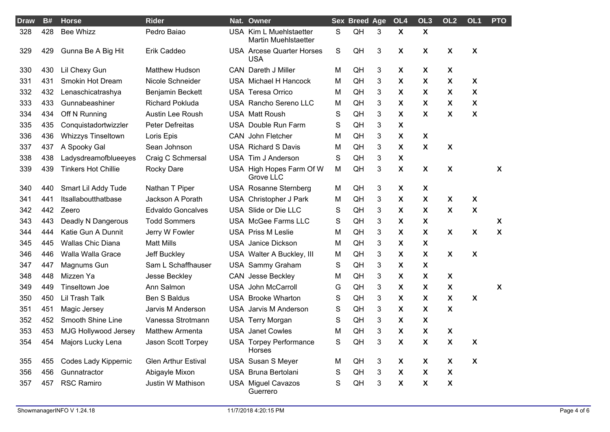| <b>Draw</b> | B#  | <b>Horse</b>               | <b>Rider</b>               | Nat. Owner                                             |   | <b>Sex Breed Age</b> |   | OL <sub>4</sub>           | OL <sub>3</sub>           | OL <sub>2</sub>           | OL <sub>1</sub>           | <b>PTO</b>                |
|-------------|-----|----------------------------|----------------------------|--------------------------------------------------------|---|----------------------|---|---------------------------|---------------------------|---------------------------|---------------------------|---------------------------|
| 328         | 428 | <b>Bee Whizz</b>           | Pedro Baiao                | USA Kim L Muehlstaetter<br><b>Martin Muehlstaetter</b> | S | QH                   | 3 | $\boldsymbol{\mathsf{X}}$ | $\boldsymbol{\mathsf{X}}$ |                           |                           |                           |
| 329         | 429 | Gunna Be A Big Hit         | Erik Caddeo                | <b>USA</b> Arcese Quarter Horses<br><b>USA</b>         | S | QH                   | 3 | X                         | X                         | X                         | X                         |                           |
| 330         | 430 | Lil Chexy Gun              | <b>Matthew Hudson</b>      | CAN Dareth J Miller                                    | M | QH                   | 3 | X                         | X                         | X                         |                           |                           |
| 331         | 431 | <b>Smokin Hot Dream</b>    | Nicole Schneider           | USA Michael H Hancock                                  | M | QH                   | 3 | X                         | X                         | X                         | X                         |                           |
| 332         | 432 | Lenaschicatrashya          | Benjamin Beckett           | USA Teresa Orrico                                      | M | QH                   | 3 | X                         | X                         | X                         | X                         |                           |
| 333         | 433 | Gunnabeashiner             | <b>Richard Pokluda</b>     | USA Rancho Sereno LLC                                  | M | QH                   | 3 | X                         | X                         | X                         | X                         |                           |
| 334         | 434 | Off N Running              | Austin Lee Roush           | <b>USA Matt Roush</b>                                  | S | QH                   | 3 | X                         | X                         | X                         | X                         |                           |
| 335         | 435 | Conquistadortwizzler       | Peter Defreitas            | USA Double Run Farm                                    | S | QH                   | 3 | X                         |                           |                           |                           |                           |
| 336         | 436 | <b>Whizzys Tinseltown</b>  | Loris Epis                 | CAN John Fletcher                                      | M | QH                   | 3 | X                         | X                         |                           |                           |                           |
| 337         | 437 | A Spooky Gal               | Sean Johnson               | <b>USA Richard S Davis</b>                             | M | QH                   | 3 | X                         | $\boldsymbol{\mathsf{X}}$ | X                         |                           |                           |
| 338         | 438 | Ladysdreamofblueeyes       | Craig C Schmersal          | USA Tim J Anderson                                     | S | QH                   | 3 | $\boldsymbol{\mathsf{X}}$ |                           |                           |                           |                           |
| 339         | 439 | <b>Tinkers Hot Chillie</b> | <b>Rocky Dare</b>          | USA High Hopes Farm Of W<br>Grove LLC                  | M | QH                   | 3 | $\boldsymbol{\mathsf{X}}$ | $\boldsymbol{\mathsf{X}}$ | $\boldsymbol{\mathsf{X}}$ |                           | X                         |
| 340         | 440 | Smart Lil Addy Tude        | Nathan T Piper             | USA Rosanne Sternberg                                  | M | QH                   | 3 | X                         | X                         |                           |                           |                           |
| 341         | 441 | Itsallaboutthatbase        | Jackson A Porath           | USA Christopher J Park                                 | M | QH                   | 3 | X                         | X                         | X                         | X                         |                           |
| 342         | 442 | Zeero                      | <b>Edvaldo Goncalves</b>   | USA Slide or Die LLC                                   | S | QH                   | 3 | $\boldsymbol{\mathsf{X}}$ | X                         | $\mathbf{x}$              | $\boldsymbol{\mathsf{X}}$ |                           |
| 343         | 443 | Deadly N Dangerous         | <b>Todd Sommers</b>        | USA McGee Farms LLC                                    | S | QH                   | 3 | X                         | X                         |                           |                           | X                         |
| 344         | 444 | Katie Gun A Dunnit         | Jerry W Fowler             | <b>USA Priss M Leslie</b>                              | M | QH                   | 3 | $\boldsymbol{\mathsf{X}}$ | $\boldsymbol{\mathsf{X}}$ | $\boldsymbol{\mathsf{X}}$ | X                         | $\boldsymbol{\mathsf{X}}$ |
| 345         | 445 | Wallas Chic Diana          | <b>Matt Mills</b>          | <b>USA</b> Janice Dickson                              | M | QH                   | 3 | X                         | X                         |                           |                           |                           |
| 346         | 446 | Walla Walla Grace          | Jeff Buckley               | USA Walter A Buckley, III                              | M | QH                   | 3 | $\boldsymbol{\mathsf{X}}$ | X                         | X                         | X                         |                           |
| 347         | 447 | Magnums Gun                | Sam L Schaffhauser         | <b>USA Sammy Graham</b>                                | S | QH                   | 3 | X                         | X                         |                           |                           |                           |
| 348         | 448 | Mizzen Ya                  | Jesse Beckley              | <b>CAN</b> Jesse Beckley                               | M | QH                   | 3 | X                         | X                         | X                         |                           |                           |
| 349         | 449 | Tinseltown Joe             | Ann Salmon                 | <b>USA John McCarroll</b>                              | G | QH                   | 3 | $\boldsymbol{\mathsf{X}}$ | X                         | X                         |                           | X                         |
| 350         | 450 | Lil Trash Talk             | <b>Ben S Baldus</b>        | <b>USA</b> Brooke Wharton                              | S | QH                   | 3 | X                         | X                         | X                         | X                         |                           |
| 351         | 451 | Magic Jersey               | Jarvis M Anderson          | USA Jarvis M Anderson                                  | S | QH                   | 3 | $\boldsymbol{\mathsf{X}}$ | X                         | X                         |                           |                           |
| 352         | 452 | Smooth Shine Line          | Vanessa Strotmann          | USA Terry Morgan                                       | S | QH                   | 3 | X                         | X                         |                           |                           |                           |
| 353         | 453 | MJG Hollywood Jersey       | Matthew Armenta            | <b>USA</b> Janet Cowles                                | M | QH                   | 3 | $\boldsymbol{\mathsf{X}}$ | X                         | X                         |                           |                           |
| 354         |     | 454 Majors Lucky Lena      | Jason Scott Torpey         | <b>USA Torpey Performance</b><br>Horses                | S | QH                   | 3 | X                         | $\pmb{\mathsf{X}}$        | X                         | X                         |                           |
| 355         | 455 | Codes Lady Kippernic       | <b>Glen Arthur Estival</b> | USA Susan S Meyer                                      | M | QH                   | 3 | X                         | X                         | X                         | X                         |                           |
| 356         | 456 | Gunnatractor               | Abigayle Mixon             | USA Bruna Bertolani                                    | S | QH                   | 3 | X                         | X                         | X                         |                           |                           |
| 357         | 457 | <b>RSC Ramiro</b>          | Justin W Mathison          | <b>USA Miguel Cavazos</b><br>Guerrero                  | S | QH                   | 3 | $\boldsymbol{\mathsf{X}}$ | X                         | X                         |                           |                           |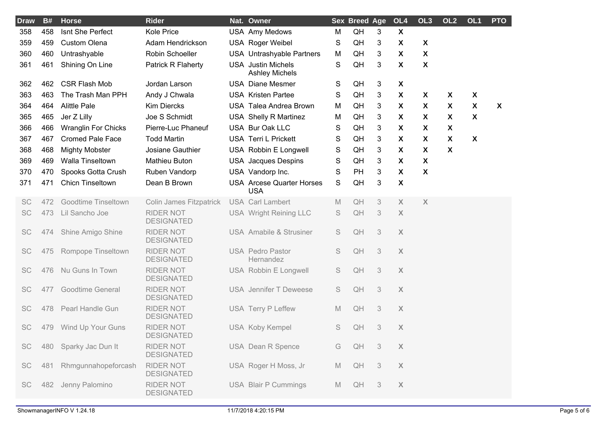| <b>Draw</b> | B#  | <b>Horse</b>               | <b>Rider</b>                          | Nat. Owner                                         |             | <b>Sex Breed Age</b>   |                           | OL4                       | OL <sub>3</sub>           | OL <sub>2</sub>           | OL <sub>1</sub>           | <b>PTO</b>                |
|-------------|-----|----------------------------|---------------------------------------|----------------------------------------------------|-------------|------------------------|---------------------------|---------------------------|---------------------------|---------------------------|---------------------------|---------------------------|
| 358         | 458 | Isnt She Perfect           | Kole Price                            | <b>USA Amy Medows</b>                              | M           | QH                     | 3                         | $\boldsymbol{\mathsf{X}}$ |                           |                           |                           |                           |
| 359         | 459 | <b>Custom Olena</b>        | Adam Hendrickson                      | <b>USA Roger Weibel</b>                            | S           | QH                     | 3                         | X                         | X                         |                           |                           |                           |
| 360         | 460 | Untrashyable               | Robin Schoeller                       | USA Untrashyable Partners                          | M           | QH                     | 3                         | $\boldsymbol{\mathsf{X}}$ | $\boldsymbol{\mathsf{X}}$ |                           |                           |                           |
| 361         | 461 | Shining On Line            | Patrick R Flaherty                    | <b>USA</b> Justin Michels<br><b>Ashley Michels</b> | S           | QH                     | 3                         | $\boldsymbol{X}$          | $\boldsymbol{\mathsf{X}}$ |                           |                           |                           |
| 362         | 462 | <b>CSR Flash Mob</b>       | Jordan Larson                         | <b>USA Diane Mesmer</b>                            | S           | QH                     | 3                         | X                         |                           |                           |                           |                           |
| 363         | 463 | The Trash Man PPH          | Andy J Chwala                         | <b>USA Kristen Partee</b>                          | S           | QH                     | 3                         | $\boldsymbol{\mathsf{X}}$ | X                         | X                         | X                         |                           |
| 364         | 464 | <b>Alittle Pale</b>        | <b>Kim Diercks</b>                    | USA Talea Andrea Brown                             | M           | QH                     | 3                         | X                         | X                         | X                         | $\boldsymbol{\mathsf{X}}$ | $\boldsymbol{\mathsf{X}}$ |
| 365         | 465 | Jer Z Lilly                | Joe S Schmidt                         | <b>USA Shelly R Martinez</b>                       | M           | QH                     | 3                         | $\boldsymbol{\mathsf{X}}$ | X                         | X                         | X                         |                           |
| 366         | 466 | <b>Wranglin For Chicks</b> | Pierre-Luc Phaneuf                    | USA Bur Oak LLC                                    | S           | QH                     | 3                         | X                         | X                         | X                         |                           |                           |
| 367         | 467 | <b>Cromed Pale Face</b>    | <b>Todd Martin</b>                    | <b>USA Terri L Prickett</b>                        | S           | QH                     | 3                         | $\boldsymbol{\mathsf{X}}$ | X                         | X                         | X                         |                           |
| 368         | 468 | <b>Mighty Mobster</b>      | Josiane Gauthier                      | USA Robbin E Longwell                              | S           | QH                     | 3                         | X                         | X                         | $\boldsymbol{\mathsf{X}}$ |                           |                           |
| 369         | 469 | Walla Tinseltown           | Mathieu Buton                         | <b>USA</b> Jacques Despins                         | S           | QH                     | 3                         | $\boldsymbol{\mathsf{X}}$ | X                         |                           |                           |                           |
| 370         | 470 | Spooks Gotta Crush         | Ruben Vandorp                         | USA Vandorp Inc.                                   | S           | PH                     | 3                         | X                         | $\boldsymbol{\mathsf{X}}$ |                           |                           |                           |
| 371         | 471 | <b>Chicn Tinseltown</b>    | Dean B Brown                          | <b>USA</b> Arcese Quarter Horses<br><b>USA</b>     | S           | QH                     | 3                         | $\boldsymbol{\mathsf{X}}$ |                           |                           |                           |                           |
| <b>SC</b>   | 472 | <b>Goodtime Tinseltown</b> | <b>Colin James Fitzpatrick</b>        | <b>USA Carl Lambert</b>                            | $\mathbb M$ | QH                     | 3                         | X                         | X                         |                           |                           |                           |
| SC          | 473 | Lil Sancho Joe             | <b>RIDER NOT</b><br><b>DESIGNATED</b> | USA Wright Reining LLC                             | S           | QH                     | 3                         | $\mathsf X$               |                           |                           |                           |                           |
| SC          | 474 | Shine Amigo Shine          | <b>RIDER NOT</b><br><b>DESIGNATED</b> | USA Amabile & Strusiner                            | S           | QH                     | $\ensuremath{\mathsf{3}}$ | $\boldsymbol{X}$          |                           |                           |                           |                           |
| SC          | 475 | Rompope Tinseltown         | <b>RIDER NOT</b><br><b>DESIGNATED</b> | <b>USA Pedro Pastor</b><br>Hernandez               | S           | QH                     | 3                         | $\boldsymbol{X}$          |                           |                           |                           |                           |
| <b>SC</b>   | 476 | Nu Guns In Town            | <b>RIDER NOT</b><br><b>DESIGNATED</b> | USA Robbin E Longwell                              | S           | QH                     | 3                         | $\boldsymbol{X}$          |                           |                           |                           |                           |
| <b>SC</b>   | 477 | <b>Goodtime General</b>    | <b>RIDER NOT</b><br><b>DESIGNATED</b> | <b>USA</b> Jennifer T Deweese                      | S           | QH                     | 3                         | $\boldsymbol{X}$          |                           |                           |                           |                           |
| <b>SC</b>   | 478 | Pearl Handle Gun           | <b>RIDER NOT</b><br><b>DESIGNATED</b> | <b>USA Terry P Leffew</b>                          | M           | QH                     | 3                         | $\mathsf X$               |                           |                           |                           |                           |
| <b>SC</b>   | 479 | Wind Up Your Guns          | <b>RIDER NOT</b><br><b>DESIGNATED</b> | <b>USA Koby Kempel</b>                             | S           | QH                     | 3                         | $\mathsf X$               |                           |                           |                           |                           |
| SC          | 480 | Sparky Jac Dun It          | <b>RIDER NOT</b><br><b>DESIGNATED</b> | <b>USA</b> Dean R Spence                           | G           | QH                     | $\ensuremath{\mathsf{3}}$ | $\mathsf X$               |                           |                           |                           |                           |
| SC          | 481 | Rhmgunnahopeforcash        | <b>RIDER NOT</b><br><b>DESIGNATED</b> | USA Roger H Moss, Jr                               | M           | $\mathsf{Q}\mathsf{H}$ | $\ensuremath{\mathsf{3}}$ | $\mathsf X$               |                           |                           |                           |                           |
| SC          | 482 | Jenny Palomino             | <b>RIDER NOT</b><br><b>DESIGNATED</b> | USA Blair P Cummings                               | $\mathbb M$ | $\mathsf{Q}\mathsf{H}$ | 3                         | $\mathsf X$               |                           |                           |                           |                           |